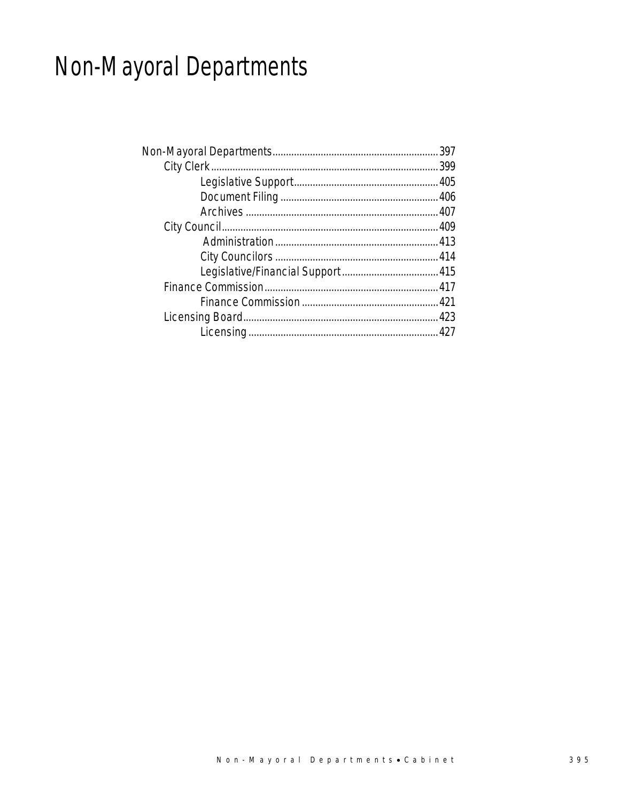# Non-Mayoral Departments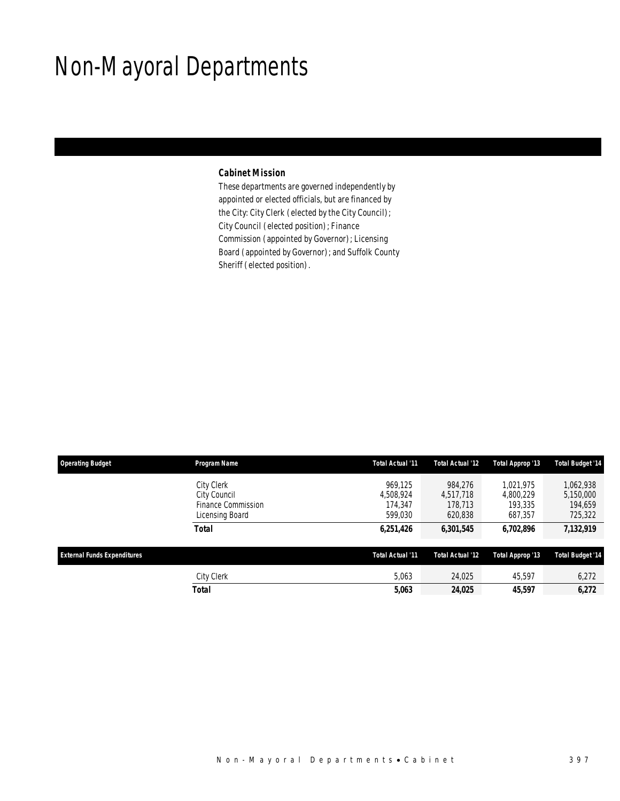## Non-Mayoral Departments

### *Cabinet Mission*

These departments are governed independently by appointed or elected officials, but are financed by the City: City Clerk (elected by the City Council); City Council (elected position); Finance Commission (appointed by Governor); Licensing Board (appointed by Governor); and Suffolk County Sheriff (elected position).

| <b>Operating Budget</b>            | Program Name                                                        | Total Actual '11                           | Total Actual '12                           | Total Approp '13                             | <b>Total Budget '14</b>                      |
|------------------------------------|---------------------------------------------------------------------|--------------------------------------------|--------------------------------------------|----------------------------------------------|----------------------------------------------|
|                                    | City Clerk<br>City Council<br>Finance Commission<br>Licensing Board | 969.125<br>4,508,924<br>174.347<br>599,030 | 984.276<br>4,517,718<br>178,713<br>620,838 | 1.021.975<br>4.800.229<br>193,335<br>687,357 | 1,062,938<br>5,150,000<br>194,659<br>725,322 |
|                                    | <b>Total</b>                                                        | 6,251,426                                  | 6,301,545                                  | 6,702,896                                    | 7,132,919                                    |
| <b>External Funds Expenditures</b> |                                                                     | Total Actual '11                           | Total Actual '12                           | Total Approp '13                             | <b>Total Budget '14</b>                      |
|                                    | <b>City Clerk</b>                                                   | 5,063                                      | 24,025                                     | 45,597                                       | 6,272                                        |
|                                    | Total                                                               | 5,063                                      | 24,025                                     | 45,597                                       | 6,272                                        |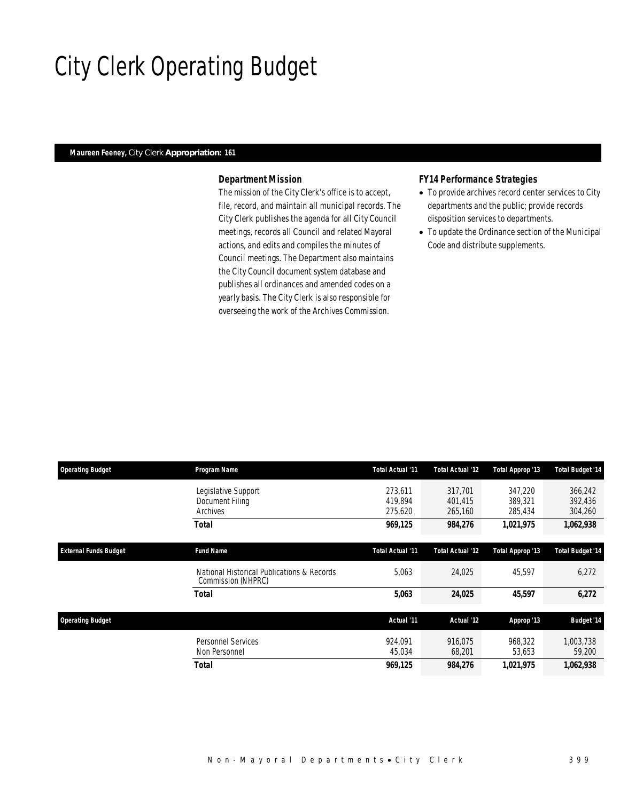# City Clerk Operating Budget

### *Maureen Feeney, City Clerk Appropriation: 161*

### *Department Mission*

The mission of the City Clerk's office is to accept, file, record, and maintain all municipal records. The City Clerk publishes the agenda for all City Council meetings, records all Council and related Mayoral actions, and edits and compiles the minutes of Council meetings. The Department also maintains the City Council document system database and publishes all ordinances and amended codes on a yearly basis. The City Clerk is also responsible for overseeing the work of the Archives Commission.

#### *FY14 Performance Strategies*

- To provide archives record center services to City departments and the public; provide records disposition services to departments.
- To update the Ordinance section of the Municipal Code and distribute supplements.

| <b>Operating Budget</b>      | Program Name                                                     | Total Actual '11              | Total Actual '12              | Total Approp '13              | <b>Total Budget '14</b>       |
|------------------------------|------------------------------------------------------------------|-------------------------------|-------------------------------|-------------------------------|-------------------------------|
|                              | Legislative Support<br>Document Filing<br>Archives               | 273.611<br>419.894<br>275,620 | 317.701<br>401.415<br>265,160 | 347.220<br>389,321<br>285,434 | 366,242<br>392,436<br>304,260 |
|                              | Total                                                            | 969,125                       | 984,276                       | 1,021,975                     | 1,062,938                     |
| <b>External Funds Budget</b> | <b>Fund Name</b>                                                 | Total Actual '11              | Total Actual '12              | Total Approp '13              | <b>Total Budget '14</b>       |
|                              | National Historical Publications & Records<br>Commission (NHPRC) | 5,063                         | 24,025                        | 45,597                        | 6,272                         |
|                              | Total                                                            | 5,063                         | 24,025                        | 45,597                        | 6,272                         |
| <b>Operating Budget</b>      |                                                                  | Actual '11                    | Actual '12                    | Approp '13                    | <b>Budget '14</b>             |
|                              | <b>Personnel Services</b><br>Non Personnel                       | 924.091<br>45,034             | 916.075<br>68,201             | 968,322<br>53,653             | 1,003,738<br>59,200           |
|                              | Total                                                            | 969,125                       | 984,276                       | 1,021,975                     | 1,062,938                     |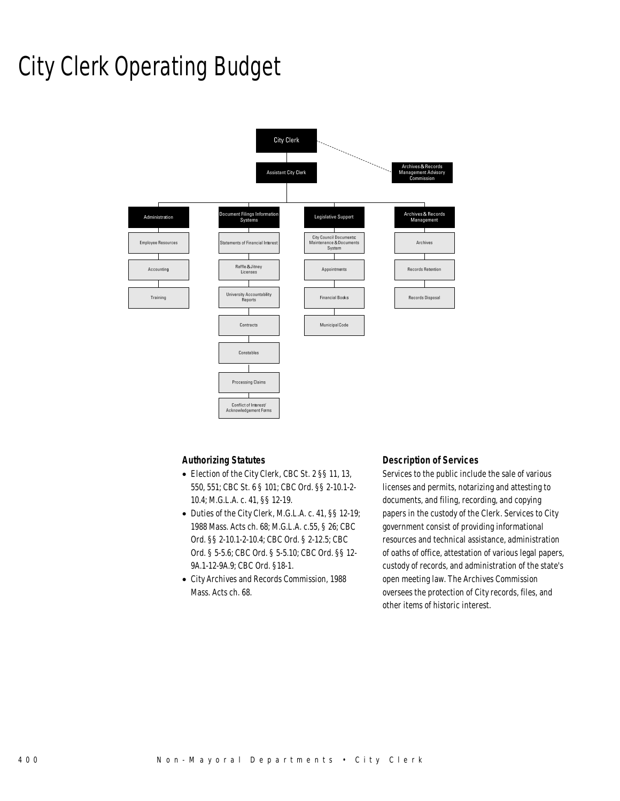## City Clerk Operating Budget



#### *Authorizing Statutes*

- Election of the City Clerk, CBC St. 2 §§ 11, 13, 550, 551; CBC St. 6 § 101; CBC Ord. §§ 2-10.1-2- 10.4; M.G.L.A. c. 41, §§ 12-19.
- Duties of the City Clerk, M.G.L.A. c. 41, §§ 12-19; 1988 Mass. Acts ch. 68; M.G.L.A. c.55, § 26; CBC Ord. §§ 2-10.1-2-10.4; CBC Ord. § 2-12.5; CBC Ord. § 5-5.6; CBC Ord. § 5-5.10; CBC Ord. §§ 12- 9A.1-12-9A.9; CBC Ord. §18-1.
- City Archives and Records Commission, 1988 Mass. Acts ch. 68.

#### *Description of Services*

Services to the public include the sale of various licenses and permits, notarizing and attesting to documents, and filing, recording, and copying papers in the custody of the Clerk. Services to City government consist of providing informational resources and technical assistance, administration of oaths of office, attestation of various legal papers, custody of records, and administration of the state's open meeting law. The Archives Commission oversees the protection of City records, files, and other items of historic interest.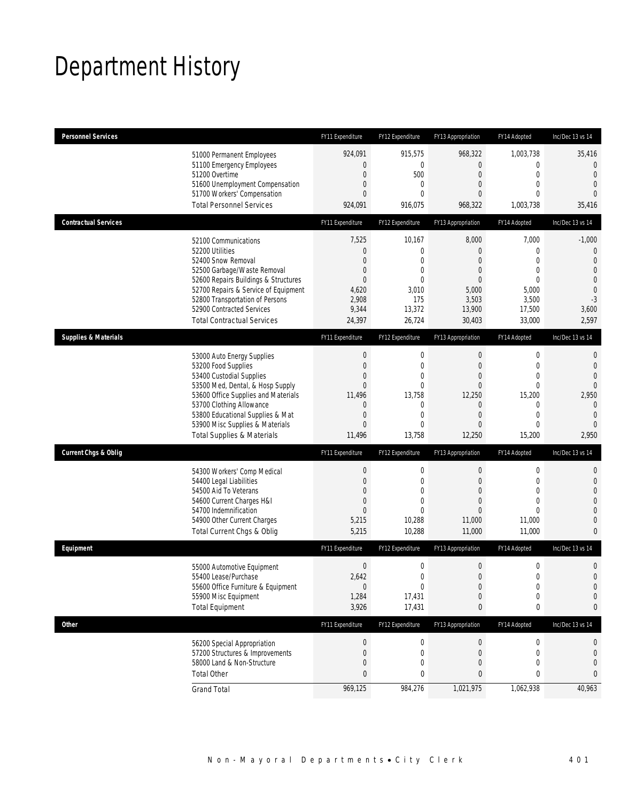# Department History

| <b>Personnel Services</b>       |                                                                                                                                                                                                                                                                                                      | FY11 Expenditure                                                                                              | FY12 Expenditure                                                                                            | FY13 Appropriation                                                                                                      | FY14 Adopted                                                                                                           | Inc/Dec 13 vs 14                                                                                         |
|---------------------------------|------------------------------------------------------------------------------------------------------------------------------------------------------------------------------------------------------------------------------------------------------------------------------------------------------|---------------------------------------------------------------------------------------------------------------|-------------------------------------------------------------------------------------------------------------|-------------------------------------------------------------------------------------------------------------------------|------------------------------------------------------------------------------------------------------------------------|----------------------------------------------------------------------------------------------------------|
|                                 | 51000 Permanent Employees<br>51100 Emergency Employees<br>51200 Overtime<br>51600 Unemployment Compensation<br>51700 Workers' Compensation<br><b>Total Personnel Services</b>                                                                                                                        | 924,091<br>$\mathbf{0}$<br>$\boldsymbol{0}$<br>0<br>0<br>924,091                                              | 915,575<br>$\mathbf 0$<br>500<br>0<br>$\theta$<br>916,075                                                   | 968,322<br>$\mathbf{0}$<br>$\mathbf 0$<br>$\mathbf{0}$<br>$\mathbf{0}$<br>968,322                                       | 1,003,738<br>$\boldsymbol{0}$<br>$\mathbf 0$<br>$\mathbf{0}$<br>$\theta$<br>1,003,738                                  | 35,416<br>0<br>$\theta$<br>$\overline{0}$<br>$\Omega$<br>35,416                                          |
| <b>Contractual Services</b>     |                                                                                                                                                                                                                                                                                                      | FY11 Expenditure                                                                                              | FY12 Expenditure                                                                                            | FY13 Appropriation                                                                                                      | FY14 Adopted                                                                                                           | Inc/Dec 13 vs 14                                                                                         |
|                                 | 52100 Communications<br>52200 Utilities<br>52400 Snow Removal<br>52500 Garbage/Waste Removal<br>52600 Repairs Buildings & Structures<br>52700 Repairs & Service of Equipment<br>52800 Transportation of Persons<br>52900 Contracted Services<br><b>Total Contractual Services</b>                    | 7,525<br>$\mathbf 0$<br>0<br>0<br>$\overline{0}$<br>4,620<br>2,908<br>9,344<br>24,397                         | 10,167<br>$\mathbf 0$<br>0<br>0<br>0<br>3,010<br>175<br>13,372<br>26,724                                    | 8,000<br>$\mathbf{0}$<br>$\mathbf{0}$<br>$\mathbf{0}$<br>$\mathbf{0}$<br>5,000<br>3,503<br>13,900<br>30,403             | 7,000<br>0<br>$\Omega$<br>$\mathbf{0}$<br>$\mathbf{0}$<br>5,000<br>3,500<br>17,500<br>33,000                           | $-1,000$<br>0<br>$\theta$<br>$\overline{0}$<br>$\overline{0}$<br>$\mathbf{0}$<br>$-3$<br>3,600<br>2,597  |
| <b>Supplies &amp; Materials</b> |                                                                                                                                                                                                                                                                                                      | FY11 Expenditure                                                                                              | FY12 Expenditure                                                                                            | FY13 Appropriation                                                                                                      | FY14 Adopted                                                                                                           | Inc/Dec 13 vs 14                                                                                         |
|                                 | 53000 Auto Energy Supplies<br>53200 Food Supplies<br>53400 Custodial Supplies<br>53500 Med, Dental, & Hosp Supply<br>53600 Office Supplies and Materials<br>53700 Clothing Allowance<br>53800 Educational Supplies & Mat<br>53900 Misc Supplies & Materials<br><b>Total Supplies &amp; Materials</b> | $\boldsymbol{0}$<br>$\boldsymbol{0}$<br>0<br>$\mathbf{0}$<br>11,496<br>0<br>$\mathbf 0$<br>$\Omega$<br>11,496 | $\mathbf 0$<br>$\overline{0}$<br>0<br>$\overline{0}$<br>13,758<br>0<br>$\overline{0}$<br>$\theta$<br>13,758 | $\mathbf 0$<br>$\overline{0}$<br>$\mathbf{0}$<br>$\overline{0}$<br>12,250<br>$\mathbf 0$<br>$\mathbf{0}$<br>0<br>12,250 | $\boldsymbol{0}$<br>$\mathbf 0$<br>$\mathbf{0}$<br>$\mathbf 0$<br>15,200<br>0<br>$\mathbf{0}$<br>$\mathbf 0$<br>15,200 | 0<br>$\mathbf 0$<br>$\overline{0}$<br>$\Omega$<br>2,950<br>$\mathbf{0}$<br>$\theta$<br>$\Omega$<br>2,950 |
| <b>Current Chgs &amp; Oblig</b> |                                                                                                                                                                                                                                                                                                      | FY11 Expenditure                                                                                              | FY12 Expenditure                                                                                            | FY13 Appropriation                                                                                                      | FY14 Adopted                                                                                                           | Inc/Dec 13 vs 14                                                                                         |
|                                 | 54300 Workers' Comp Medical<br>54400 Legal Liabilities<br>54500 Aid To Veterans<br>54600 Current Charges H&I<br>54700 Indemnification<br>54900 Other Current Charges<br>Total Current Chgs & Oblig                                                                                                   | $\boldsymbol{0}$<br>$\boldsymbol{0}$<br>0<br>$\mathbf 0$<br>$\overline{0}$<br>5,215<br>5,215                  | $\mathbf 0$<br>$\mathbf 0$<br>0<br>$\overline{0}$<br>$\overline{0}$<br>10,288<br>10,288                     | $\boldsymbol{0}$<br>$\mathbf 0$<br>$\mathbf{0}$<br>$\overline{0}$<br>0<br>11,000<br>11,000                              | $\boldsymbol{0}$<br>$\mathbf 0$<br>$\mathbf{0}$<br>$\overline{0}$<br>$\Omega$<br>11,000<br>11,000                      | 0<br>$\mathbf 0$<br>0<br>0<br>0<br>$\overline{0}$<br>0                                                   |
| Equipment                       |                                                                                                                                                                                                                                                                                                      | FY11 Expenditure                                                                                              | FY12 Expenditure                                                                                            | FY13 Appropriation                                                                                                      | FY14 Adopted                                                                                                           | Inc/Dec 13 vs 14                                                                                         |
|                                 | 55000 Automotive Equipment<br>55400 Lease/Purchase<br>55600 Office Furniture & Equipment<br>55900 Misc Equipment<br><b>Total Equipment</b>                                                                                                                                                           | $\boldsymbol{0}$<br>2,642<br>$\mathbf 0$<br>1,284<br>3,926                                                    | $\mathbf 0$<br>0<br>$\boldsymbol{0}$<br>17,431<br>17,431                                                    | $\boldsymbol{0}$<br>$\mathbf{0}$<br>$\boldsymbol{0}$<br>$\mathbf 0$<br>0                                                | $\boldsymbol{0}$<br>$\mathbf 0$<br>$\boldsymbol{0}$<br>$\boldsymbol{0}$<br>0                                           | 0<br>$\overline{0}$<br>$\mathbf 0$<br>0<br>0                                                             |
| <b>Other</b>                    |                                                                                                                                                                                                                                                                                                      | FY11 Expenditure                                                                                              | FY12 Expenditure                                                                                            | FY13 Appropriation                                                                                                      | FY14 Adopted                                                                                                           | Inc/Dec 13 vs 14                                                                                         |
|                                 | 56200 Special Appropriation<br>57200 Structures & Improvements<br>58000 Land & Non-Structure<br><b>Total Other</b>                                                                                                                                                                                   | $\boldsymbol{0}$<br>$\mathbf 0$<br>0<br>$\pmb{0}$                                                             | 0<br>$\mathbf 0$<br>$\mathbf 0$<br>0                                                                        | $\theta$<br>$\mathbf 0$<br>$\overline{0}$<br>0                                                                          | 0<br>0<br>0<br>0                                                                                                       | 0<br>0<br>0<br>0                                                                                         |
|                                 | <b>Grand Total</b>                                                                                                                                                                                                                                                                                   | 969,125                                                                                                       | 984,276                                                                                                     | 1,021,975                                                                                                               | 1,062,938                                                                                                              | 40,963                                                                                                   |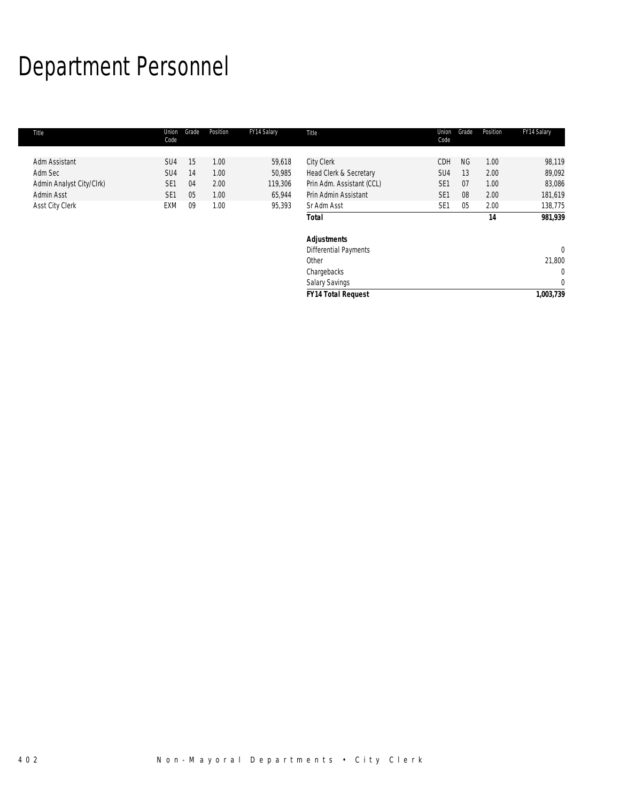# Department Personnel

| Title                    | Union<br>Code   | Grade | Position | FY14 Salary | Title                        | Union<br>Code   | Grade     | Position | FY14 Salary  |
|--------------------------|-----------------|-------|----------|-------------|------------------------------|-----------------|-----------|----------|--------------|
|                          |                 |       |          |             |                              |                 |           |          |              |
| Adm Assistant            | SU <sub>4</sub> | 15    | 1.00     | 59,618      | City Clerk                   | CDH             | <b>NG</b> | 1.00     | 98,119       |
| Adm Sec                  | SU <sub>4</sub> | 14    | 1.00     | 50,985      | Head Clerk & Secretary       | SU4             | 13        | 2.00     | 89,092       |
| Admin Analyst City/Clrk) | SE <sub>1</sub> | 04    | 2.00     | 119,306     | Prin Adm. Assistant (CCL)    | SE <sub>1</sub> | 07        | 1.00     | 83,086       |
| Admin Asst               | SE <sub>1</sub> | 05    | 1.00     | 65,944      | Prin Admin Assistant         | SE <sub>1</sub> | 08        | 2.00     | 181,619      |
| Asst City Clerk          | EXM             | 09    | 1.00     | 95,393      | Sr Adm Asst                  | SE <sub>1</sub> | 05        | 2.00     | 138,775      |
|                          |                 |       |          |             | <b>Total</b>                 |                 |           | 14       | 981,939      |
|                          |                 |       |          |             | <b>Adjustments</b>           |                 |           |          |              |
|                          |                 |       |          |             | <b>Differential Payments</b> |                 |           |          | $\mathbf{0}$ |
|                          |                 |       |          |             | Other                        |                 |           |          | 21,800       |
|                          |                 |       |          |             | Chargebacks                  |                 |           |          | 0            |
|                          |                 |       |          |             | <b>Salary Savings</b>        |                 |           |          | $\mathbf 0$  |
|                          |                 |       |          |             | <b>FY14 Total Request</b>    |                 |           |          | 1,003,739    |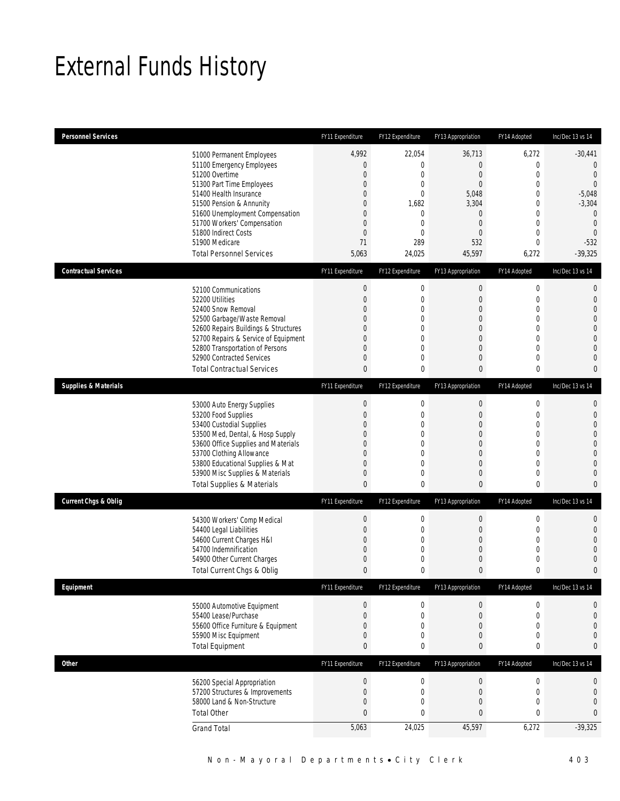## External Funds History

| <b>Personnel Services</b>                                                                                                                                                                                                                                                                                  | FY11 Expenditure                                                                                               | FY12 Expenditure                                                                                                                                 | FY13 Appropriation                                                                                          | FY14 Adopted                                                                                                                                         | Inc/Dec 13 vs 14                                                                                                                                             |
|------------------------------------------------------------------------------------------------------------------------------------------------------------------------------------------------------------------------------------------------------------------------------------------------------------|----------------------------------------------------------------------------------------------------------------|--------------------------------------------------------------------------------------------------------------------------------------------------|-------------------------------------------------------------------------------------------------------------|------------------------------------------------------------------------------------------------------------------------------------------------------|--------------------------------------------------------------------------------------------------------------------------------------------------------------|
| 51000 Permanent Employees<br>51100 Emergency Employees<br>51200 Overtime<br>51300 Part Time Employees<br>51400 Health Insurance<br>51500 Pension & Annunity<br>51600 Unemployment Compensation<br>51700 Workers' Compensation<br>51800 Indirect Costs<br>51900 Medicare<br><b>Total Personnel Services</b> | 4,992<br>$\boldsymbol{0}$<br>$\mathbf 0$<br>0<br>0<br>0<br>0<br>$\mathbf 0$<br>$\boldsymbol{0}$<br>71<br>5,063 | 22,054<br>$\boldsymbol{0}$<br>$\mathbf 0$<br>$\mathbf 0$<br>$\mathbf 0$<br>1,682<br>$\mathbf{0}$<br>$\mathbf 0$<br>$\mathbf{0}$<br>289<br>24,025 | 36,713<br>$\mathbf 0$<br>0<br>0<br>5,048<br>3,304<br>$\overline{0}$<br>$\overline{0}$<br>0<br>532<br>45,597 | 6,272<br>$\mathbf 0$<br>$\mathbf 0$<br>$\overline{0}$<br>$\mathbf{0}$<br>0<br>$\mathbf{0}$<br>$\mathbf 0$<br>$\mathbf{0}$<br>$\overline{0}$<br>6,272 | $-30,441$<br>$\overline{0}$<br>$\mathbf{0}$<br>$\mathbf{0}$<br>$-5,048$<br>$-3,304$<br>$\mathbf{0}$<br>$\mathbf{0}$<br>$\overline{0}$<br>$-532$<br>$-39,325$ |
| <b>Contractual Services</b>                                                                                                                                                                                                                                                                                | FY11 Expenditure                                                                                               | FY12 Expenditure                                                                                                                                 | FY13 Appropriation                                                                                          | FY14 Adopted                                                                                                                                         | Inc/Dec 13 vs 14                                                                                                                                             |
| 52100 Communications<br>52200 Utilities<br>52400 Snow Removal<br>52500 Garbage/Waste Removal<br>52600 Repairs Buildings & Structures<br>52700 Repairs & Service of Equipment<br>52800 Transportation of Persons<br>52900 Contracted Services<br><b>Total Contractual Services</b>                          | $\boldsymbol{0}$<br>$\boldsymbol{0}$<br>0<br>0<br>0<br>0<br>0<br>0<br>0                                        | $\boldsymbol{0}$<br>$\mathbf 0$<br>$\mathbf 0$<br>0<br>$\mathbf{0}$<br>$\mathbf 0$<br>$\mathbf{0}$<br>$\mathbf 0$<br>0                           | $\boldsymbol{0}$<br>0<br>0<br>$\mathbf 0$<br>0<br>0<br>$\overline{0}$<br>0<br>0                             | $\boldsymbol{0}$<br>$\mathbf 0$<br>$\mathbf{0}$<br>$\mathbf 0$<br>$\mathbf 0$<br>$\mathbf{0}$<br>$\overline{0}$<br>$\mathbf{0}$<br>0                 | $\mathbf{0}$<br>$\mathbf{0}$<br>$\overline{0}$<br>$\Omega$<br>$\mathbf{0}$<br>$\overline{0}$<br>$\overline{0}$<br>$\mathbf{0}$<br>$\mathbf{0}$               |
| <b>Supplies &amp; Materials</b>                                                                                                                                                                                                                                                                            | FY11 Expenditure                                                                                               | FY12 Expenditure                                                                                                                                 | FY13 Appropriation                                                                                          | FY14 Adopted                                                                                                                                         | Inc/Dec 13 vs 14                                                                                                                                             |
| 53000 Auto Energy Supplies<br>53200 Food Supplies<br>53400 Custodial Supplies<br>53500 Med, Dental, & Hosp Supply<br>53600 Office Supplies and Materials<br>53700 Clothing Allowance<br>53800 Educational Supplies & Mat<br>53900 Misc Supplies & Materials<br><b>Total Supplies &amp; Materials</b>       | $\theta$<br>$\boldsymbol{0}$<br>0<br>0<br>0<br>0<br>0<br>0<br>$\mathbf{0}$                                     | $\boldsymbol{0}$<br>$\mathbf 0$<br>$\mathbf 0$<br>$\mathbf 0$<br>$\theta$<br>$\mathbf 0$<br>$\mathbf 0$<br>$\mathbf 0$<br>0                      | $\boldsymbol{0}$<br>$\mathbf 0$<br>0<br>0<br>$\overline{0}$<br>0<br>$\mathbf 0$<br>0<br>0                   | $\mathbf 0$<br>$\mathbf 0$<br>$\mathbf{0}$<br>0<br>$\overline{0}$<br>$\mathbf{0}$<br>$\mathbf{0}$<br>$\mathbf{0}$<br>0                               | $\mathbf{0}$<br>$\mathbf{0}$<br>$\overline{0}$<br>$\overline{0}$<br>$\overline{0}$<br>$\overline{0}$<br>$\overline{0}$<br>$\mathbf{0}$<br>$\mathbf{0}$       |
| <b>Current Chgs &amp; Oblig</b>                                                                                                                                                                                                                                                                            | FY11 Expenditure                                                                                               | FY12 Expenditure                                                                                                                                 | FY13 Appropriation                                                                                          | FY14 Adopted                                                                                                                                         | Inc/Dec 13 vs 14                                                                                                                                             |
| 54300 Workers' Comp Medical<br>54400 Legal Liabilities<br>54600 Current Charges H&I<br>54700 Indemnification<br>54900 Other Current Charges<br>Total Current Chgs & Oblig                                                                                                                                  | $\boldsymbol{0}$<br>$\boldsymbol{0}$<br>0<br>0<br>0<br>$\mathbf{0}$                                            | 0<br>$\boldsymbol{0}$<br>$\mathbf 0$<br>$\mathbf 0$<br>$\mathbf 0$<br>0                                                                          | $\pmb{0}$<br>$\mathbf 0$<br>0<br>0<br>0<br>0                                                                | $\boldsymbol{0}$<br>$\mathbf 0$<br>$\mathbf{0}$<br>$\mathbf{0}$<br>0<br>0                                                                            | $\mathbf{0}$<br>$\mathbf{0}$<br>$\overline{0}$<br>$\Omega$<br>$\mathbf{0}$<br>$\bf{0}$                                                                       |
| Equipment                                                                                                                                                                                                                                                                                                  | FY11 Expenditure                                                                                               | FY12 Expenditure                                                                                                                                 | FY13 Appropriation                                                                                          | FY14 Adopted                                                                                                                                         | Inc/Dec 13 vs 14                                                                                                                                             |
| 55000 Automotive Equipment<br>55400 Lease/Purchase<br>55600 Office Furniture & Equipment<br>55900 Misc Equipment<br><b>Total Equipment</b>                                                                                                                                                                 | $\boldsymbol{0}$<br>$\boldsymbol{0}$<br>0<br>0<br>0                                                            | 0<br>$\mathbf 0$<br>$\boldsymbol{0}$<br>$\mathbf 0$<br>0                                                                                         | $\pmb{0}$<br>$\mathbf 0$<br>$\mathbf 0$<br>0<br>0                                                           | $\boldsymbol{0}$<br>$\mathbf 0$<br>$\mathbf{0}$<br>$\mathbf 0$<br>0                                                                                  | 0<br>$\mathbf{0}$<br>$\mathbf{0}$<br>$\mathbf{0}$<br>$\bf{0}$                                                                                                |
| <b>Other</b>                                                                                                                                                                                                                                                                                               | FY11 Expenditure                                                                                               | FY12 Expenditure                                                                                                                                 | FY13 Appropriation                                                                                          | FY14 Adopted                                                                                                                                         | Inc/Dec 13 vs 14                                                                                                                                             |
| 56200 Special Appropriation<br>57200 Structures & Improvements<br>58000 Land & Non-Structure<br><b>Total Other</b><br><b>Grand Total</b>                                                                                                                                                                   | $\boldsymbol{0}$<br>$\boldsymbol{0}$<br>0<br>0<br>5,063                                                        | 0<br>$\boldsymbol{0}$<br>0<br>$\mathbf 0$<br>24,025                                                                                              | $\pmb{0}$<br>$\mathbf 0$<br>0<br>0<br>45,597                                                                | $\boldsymbol{0}$<br>$\mathbf 0$<br>$\mathbf 0$<br>0<br>6,272                                                                                         | $\boldsymbol{0}$<br>$\mathbf 0$<br>$\mathbf{0}$<br>0<br>$-39,325$                                                                                            |
|                                                                                                                                                                                                                                                                                                            |                                                                                                                |                                                                                                                                                  |                                                                                                             |                                                                                                                                                      |                                                                                                                                                              |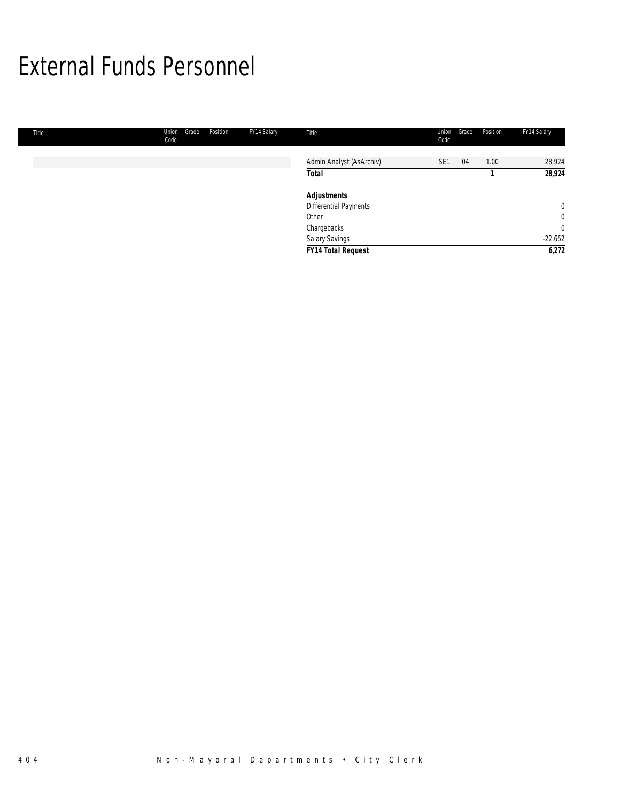### External Funds Personnel

| Title | Union<br>Code | Grade | Position | FY14 Salary | Title                     | Union<br>Code   | Grade | Position | FY14 Salary    |
|-------|---------------|-------|----------|-------------|---------------------------|-----------------|-------|----------|----------------|
|       |               |       |          |             |                           |                 |       |          |                |
|       |               |       |          |             | Admin Analyst (AsArchiv)  | SE <sub>1</sub> | 04    | 1.00     | 28,924         |
|       |               |       |          |             | <b>Total</b>              |                 |       |          | 28,924         |
|       |               |       |          |             | <b>Adjustments</b>        |                 |       |          |                |
|       |               |       |          |             | Differential Payments     |                 |       |          | $\overline{0}$ |
|       |               |       |          |             | Other                     |                 |       |          | $\overline{0}$ |
|       |               |       |          |             | Chargebacks               |                 |       |          | 0              |
|       |               |       |          |             | Salary Savings            |                 |       |          | $-22,652$      |
|       |               |       |          |             | <b>FY14 Total Request</b> |                 |       |          | 6,272          |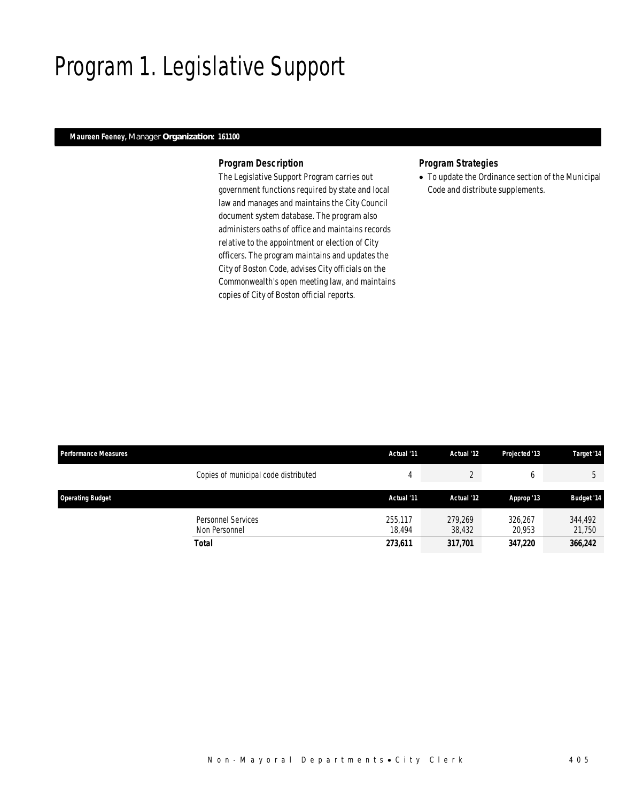## Program 1. Legislative Support

### *Maureen Feeney, Manager Organization: 161100*

#### *Program Description*

The Legislative Support Program carries out government functions required by state and local law and manages and maintains the City Council document system database. The program also administers oaths of office and maintains records relative to the appointment or election of City officers. The program maintains and updates the City of Boston Code, advises City officials on the Commonwealth's open meeting law, and maintains copies of City of Boston official reports.

#### *Program Strategies*

• To update the Ordinance section of the Municipal Code and distribute supplements.

| <b>Performance Measures</b> |                                            | Actual '11        | Actual '12        | Projected '13     | Target '14        |
|-----------------------------|--------------------------------------------|-------------------|-------------------|-------------------|-------------------|
|                             | Copies of municipal code distributed       | 4                 |                   | b                 | 5                 |
| <b>Operating Budget</b>     |                                            | Actual '11        | Actual '12        | Approp '13        | <b>Budget '14</b> |
|                             | <b>Personnel Services</b><br>Non Personnel | 255.117<br>18.494 | 279.269<br>38,432 | 326.267<br>20.953 | 344,492<br>21,750 |
|                             | <b>Total</b>                               | 273,611           | 317,701           | 347,220           | 366,242           |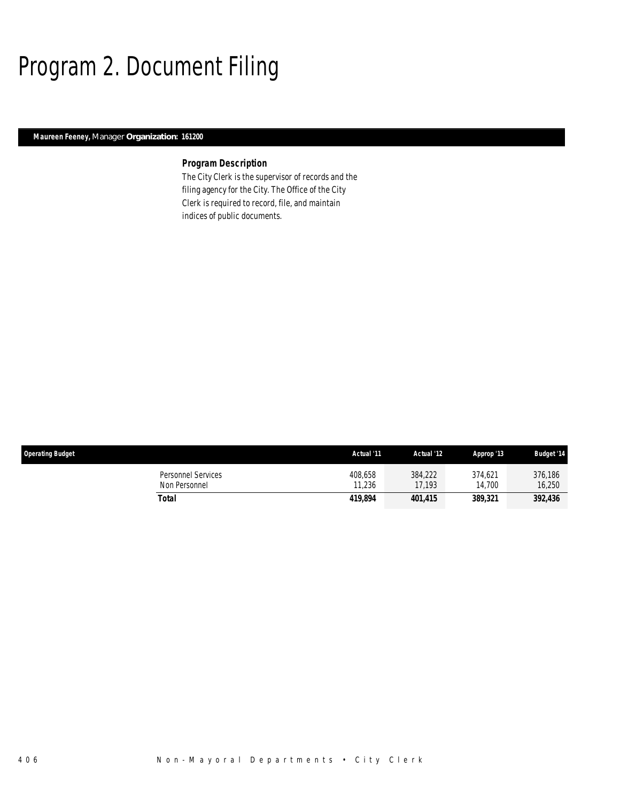# Program 2. Document Filing

### *Maureen Feeney, Manager Organization: 161200*

### *Program Description*

The City Clerk is the supervisor of records and the filing agency for the City. The Office of the City Clerk is required to record, file, and maintain indices of public documents.

| <b>Operating Budget</b>             | Actual '11        | Actual '12        | Approp '13        | <b>Budget '14</b> |
|-------------------------------------|-------------------|-------------------|-------------------|-------------------|
| Personnel Services<br>Non Personnel | 408,658<br>11,236 | 384.222<br>17.193 | 374.621<br>14.700 | 376.186<br>16.250 |
| Total                               | 419,894           | 401.415           | 389,321           | 392,436           |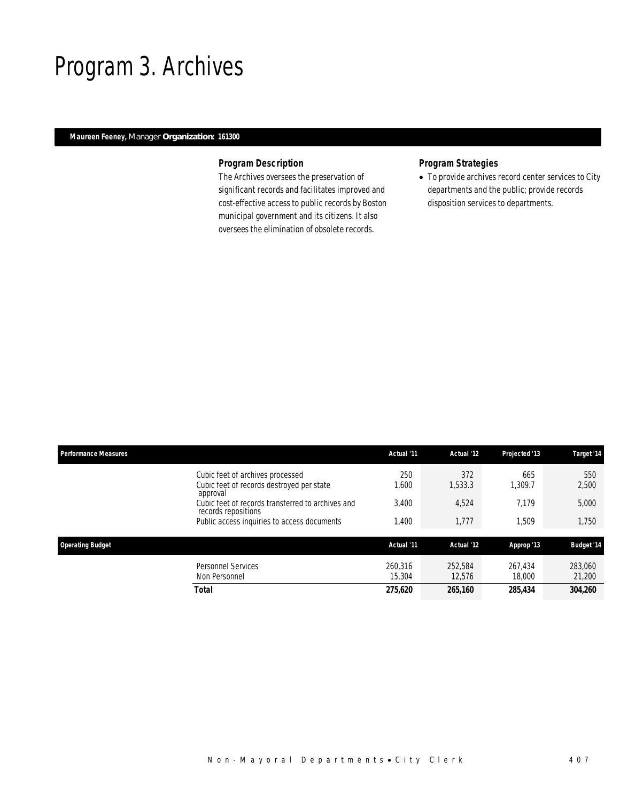### Program 3. Archives

### *Maureen Feeney, Manager Organization: 161300*

### *Program Description*

The Archives oversees the preservation of significant records and facilitates improved and cost-effective access to public records by Boston municipal government and its citizens. It also oversees the elimination of obsolete records.

### *Program Strategies*

• To provide archives record center services to City departments and the public; provide records disposition services to departments.

| <b>Performance Measures</b>                                                               | Actual '11        | Actual '12        | Projected '13     | Target '14        |
|-------------------------------------------------------------------------------------------|-------------------|-------------------|-------------------|-------------------|
| Cubic feet of archives processed<br>Cubic feet of records destroyed per state<br>approval | 250<br>1,600      | 372<br>1,533.3    | 665<br>1.309.7    | 550<br>2,500      |
| Cubic feet of records transferred to archives and<br>records repositions                  | 3.400             | 4,524             | 7.179             | 5,000             |
| Public access inquiries to access documents                                               | 1,400             | 1,777             | 1,509             | 1,750             |
| <b>Operating Budget</b>                                                                   | Actual '11        | Actual '12        | Approp '13        | <b>Budget '14</b> |
| Personnel Services<br>Non Personnel                                                       | 260.316<br>15,304 | 252,584<br>12.576 | 267.434<br>18,000 | 283,060<br>21,200 |
| <b>Total</b>                                                                              | 275,620           | 265,160           | 285,434           | 304,260           |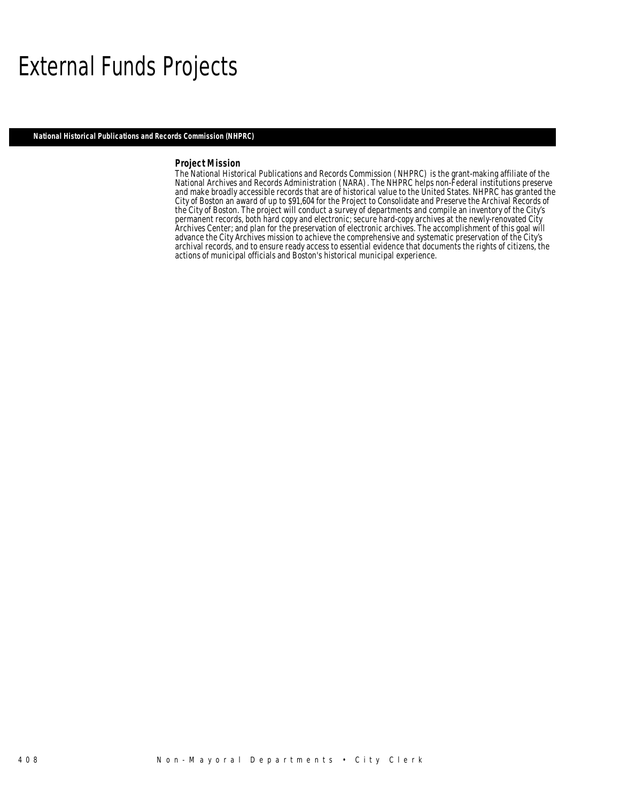### External Funds Projects

*National Historical Publications and Records Commission (NHPRC)* 

#### *Project Mission*

The National Historical Publications and Records Commission (NHPRC) is the grant-making affiliate of the National Archives and Records Administration (NARA). The NHPRC helps non-Federal institutions preserve and make broadly accessible records that are of historical value to the United States. NHPRC has granted the City of Boston an award of up to \$91,604 for the Project to Consolidate and Preserve the Archival Records of the City of Boston. The project will conduct a survey of departments and compile an inventory of the City's permanent records, both hard copy and electronic; secure hard-copy archives at the newly-renovated City Archives Center; and plan for the preservation of electronic archives. The accomplishment of this goal will advance the City Archives mission to achieve the comprehensive and systematic preservation of the City's archival records, and to ensure ready access to essential evidence that documents the rights of citizens, the actions of municipal officials and Boston's historical municipal experience.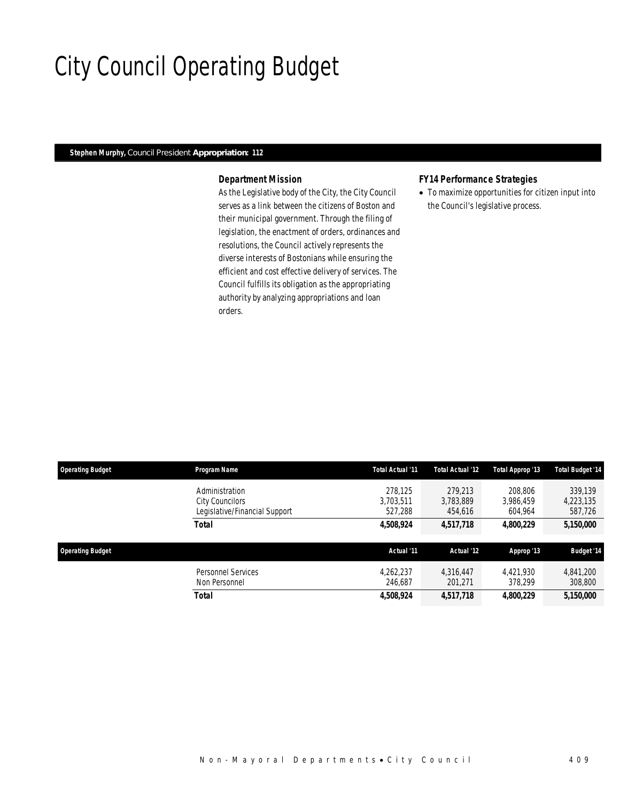# City Council Operating Budget

#### *Stephen Murphy, Council President Appropriation: 112*

### *Department Mission*

As the Legislative body of the City, the City Council serves as a link between the citizens of Boston and their municipal government. Through the filing of legislation, the enactment of orders, ordinances and resolutions, the Council actively represents the diverse interests of Bostonians while ensuring the efficient and cost effective delivery of services. The Council fulfills its obligation as the appropriating authority by analyzing appropriations and loan orders.

#### *FY14 Performance Strategies*

• To maximize opportunities for citizen input into the Council's legislative process.

| <b>Operating Budget</b> | Program Name                                                              | Total Actual '11                | Total Actual '12                | Total Approp '13                | <b>Total Budget '14</b>         |
|-------------------------|---------------------------------------------------------------------------|---------------------------------|---------------------------------|---------------------------------|---------------------------------|
|                         | Administration<br><b>City Councilors</b><br>Legislative/Financial Support | 278.125<br>3.703.511<br>527.288 | 279.213<br>3.783.889<br>454.616 | 208.806<br>3,986,459<br>604.964 | 339.139<br>4,223,135<br>587,726 |
|                         | Total                                                                     | 4,508,924                       | 4,517,718                       | 4,800,229                       | 5,150,000                       |
| <b>Operating Budget</b> |                                                                           | Actual '11                      | Actual '12                      | Approp '13                      | <b>Budget '14</b>               |
|                         | <b>Personnel Services</b><br>Non Personnel                                | 4.262.237<br>246.687            | 4.316.447<br>201,271            | 4,421,930<br>378.299            | 4.841.200<br>308,800            |
|                         |                                                                           |                                 |                                 |                                 |                                 |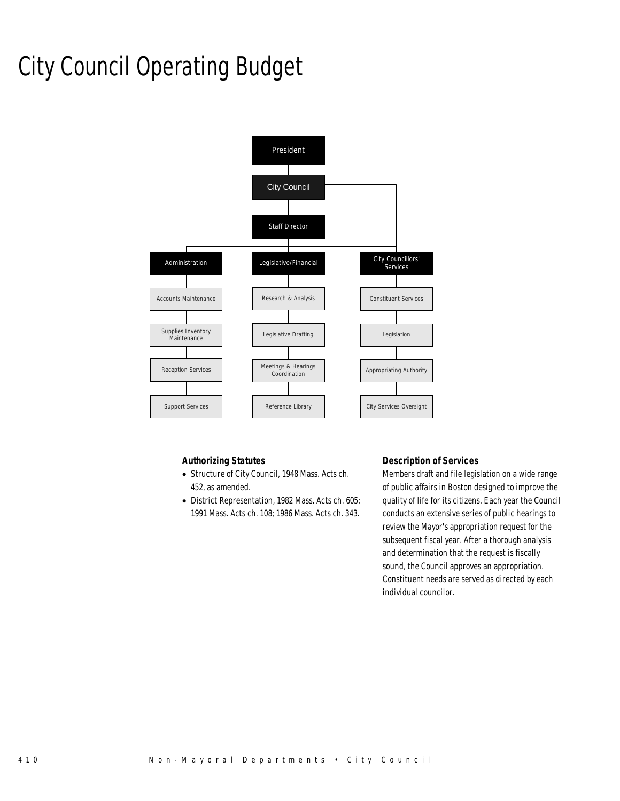# City Council Operating Budget



### *Authorizing Statutes*

- Structure of City Council, 1948 Mass. Acts ch. 452, as amended.
- District Representation, 1982 Mass. Acts ch. 605; 1991 Mass. Acts ch. 108; 1986 Mass. Acts ch. 343.

### *Description of Services*

Members draft and file legislation on a wide range of public affairs in Boston designed to improve the quality of life for its citizens. Each year the Council conducts an extensive series of public hearings to review the Mayor's appropriation request for the subsequent fiscal year. After a thorough analysis and determination that the request is fiscally sound, the Council approves an appropriation. Constituent needs are served as directed by each individual councilor.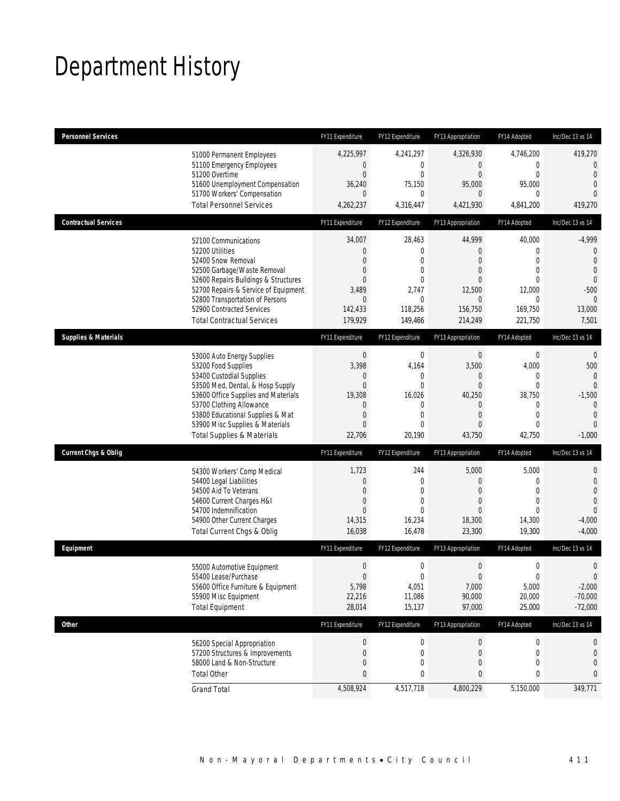# Department History

| <b>Personnel Services</b>       |                                       | FY11 Expenditure | FY12 Expenditure | FY13 Appropriation | FY14 Adopted     | Inc/Dec 13 vs 14 |
|---------------------------------|---------------------------------------|------------------|------------------|--------------------|------------------|------------------|
|                                 | 51000 Permanent Employees             | 4,225,997        | 4,241,297        | 4,326,930          | 4,746,200        | 419,270          |
|                                 | 51100 Emergency Employees             | $\boldsymbol{0}$ | 0                | $\mathbf 0$        | 0                | $\overline{0}$   |
|                                 | 51200 Overtime                        | $\mathbf{0}$     | $\overline{0}$   | $\theta$           | $\overline{0}$   | $\overline{0}$   |
|                                 | 51600 Unemployment Compensation       | 36,240           | 75,150           | 95,000             | 95,000           | $\overline{0}$   |
|                                 | 51700 Workers' Compensation           | 0                | $\mathbf 0$      | $\mathbf{0}$       | 0                | $\Omega$         |
|                                 | <b>Total Personnel Services</b>       | 4,262,237        | 4,316,447        | 4,421,930          | 4,841,200        | 419,270          |
| <b>Contractual Services</b>     |                                       | FY11 Expenditure | FY12 Expenditure | FY13 Appropriation | FY14 Adopted     | Inc/Dec 13 vs 14 |
|                                 | 52100 Communications                  | 34,007           | 28,463           | 44,999             | 40,000           | $-4,999$         |
|                                 | 52200 Utilities                       | $\boldsymbol{0}$ | $\mathbf 0$      | $\theta$           | 0                | $\mathbf{0}$     |
|                                 | 52400 Snow Removal                    | 0                | $\mathbf{0}$     | $\overline{0}$     | $\mathbf{0}$     | $\overline{0}$   |
|                                 | 52500 Garbage/Waste Removal           | 0                | $\mathbf 0$      | $\theta$           | $\mathbf 0$      | $\mathbf{0}$     |
|                                 | 52600 Repairs Buildings & Structures  | $\overline{0}$   | $\mathbf{0}$     | $\overline{0}$     | $\Omega$         | $\overline{0}$   |
|                                 | 52700 Repairs & Service of Equipment  | 3,489            | 2,747            | 12,500             | 12,000           | $-500$           |
|                                 | 52800 Transportation of Persons       | 0                | $\mathbf 0$      | $\overline{0}$     | 0                | $\theta$         |
|                                 | 52900 Contracted Services             | 142,433          | 118,256          | 156,750            | 169,750          | 13,000           |
|                                 | <b>Total Contractual Services</b>     | 179,929          | 149,466          | 214,249            | 221,750          | 7,501            |
| <b>Supplies &amp; Materials</b> |                                       | FY11 Expenditure | FY12 Expenditure | FY13 Appropriation | FY14 Adopted     | Inc/Dec 13 vs 14 |
|                                 | 53000 Auto Energy Supplies            | $\boldsymbol{0}$ | $\boldsymbol{0}$ | $\boldsymbol{0}$   | $\mathbf 0$      | $\mathbf{0}$     |
|                                 | 53200 Food Supplies                   | 3,398            | 4,164            | 3,500              | 4,000            | 500              |
|                                 | 53400 Custodial Supplies              | 0                | 0                | $\theta$           | 0                | $\mathbf{0}$     |
|                                 | 53500 Med, Dental, & Hosp Supply      | $\overline{0}$   | $\mathbf{0}$     | $\theta$           | $\overline{0}$   | $\mathbf{0}$     |
|                                 | 53600 Office Supplies and Materials   | 19,308           | 16,026           | 40,250             | 38,750           | $-1,500$         |
|                                 | 53700 Clothing Allowance              | 0                | 0                | $\overline{0}$     | 0                | $\mathbf{0}$     |
|                                 | 53800 Educational Supplies & Mat      | $\mathbf 0$      | $\mathbf 0$      | $\overline{0}$     | $\mathbf 0$      | $\mathbf{0}$     |
|                                 | 53900 Misc Supplies & Materials       | 0                | $\mathbf{0}$     | $\overline{0}$     | $\mathbf{0}$     | $\overline{0}$   |
|                                 | <b>Total Supplies &amp; Materials</b> | 22,706           | 20,190           | 43,750             | 42,750           | $-1,000$         |
| <b>Current Chgs &amp; Oblig</b> |                                       | FY11 Expenditure | FY12 Expenditure | FY13 Appropriation | FY14 Adopted     | Inc/Dec 13 vs 14 |
|                                 | 54300 Workers' Comp Medical           | 1,723            | 244              | 5,000              | 5,000            | $\mathbf 0$      |
|                                 | 54400 Legal Liabilities               | 0                | $\mathbf{0}$     | $\theta$           | 0                | $\mathbf 0$      |
|                                 | 54500 Aid To Veterans                 | $\mathbf{0}$     | $\mathbf{0}$     | $\overline{0}$     | $\mathbf{0}$     | $\overline{0}$   |
|                                 | 54600 Current Charges H&I             | 0                | $\mathbf{0}$     | $\theta$           | $\mathbf{0}$     | $\overline{0}$   |
|                                 | 54700 Indemnification                 | $\Omega$         | $\Omega$         | $\Omega$           | $\Omega$         | $\Omega$         |
|                                 | 54900 Other Current Charges           | 14,315           | 16,234           | 18,300             | 14,300           | $-4,000$         |
|                                 | Total Current Chgs & Oblig            | 16,038           | 16,478           | 23,300             | 19,300           | $-4,000$         |
| Equipment                       |                                       | FY11 Expenditure | FY12 Expenditure | FY13 Appropriation | FY14 Adopted     | Inc/Dec 13 vs 14 |
|                                 | 55000 Automotive Equipment            | $\boldsymbol{0}$ | $\mathbf 0$      | $\boldsymbol{0}$   | $\boldsymbol{0}$ | $\mathbf 0$      |
|                                 | 55400 Lease/Purchase                  | $\Omega$         | 0                | $\Omega$           | $\theta$         | $\mathbf 0$      |
|                                 | 55600 Office Furniture & Equipment    | 5,798            | 4,051            | 7,000              | 5,000            | $-2,000$         |
|                                 | 55900 Misc Equipment                  | 22,216           | 11,086           | 90,000             | 20,000           | $-70,000$        |
|                                 | <b>Total Equipment</b>                | 28,014           | 15,137           | 97,000             | 25,000           | $-72,000$        |
| <b>Other</b>                    |                                       | FY11 Expenditure | FY12 Expenditure | FY13 Appropriation | FY14 Adopted     | Inc/Dec 13 vs 14 |
|                                 | 56200 Special Appropriation           | 0                | $\boldsymbol{0}$ | $\boldsymbol{0}$   | 0                | 0                |
|                                 | 57200 Structures & Improvements       | $\boldsymbol{0}$ | 0                | $\boldsymbol{0}$   | 0                | $\mathbf 0$      |
|                                 | 58000 Land & Non-Structure            | 0                | 0                | $\theta$           | $\mathbf 0$      | $\mathbf 0$      |
|                                 | <b>Total Other</b>                    | $\bf{0}$         | 0                | $\bf{0}$           | 0                | 0                |
|                                 | <b>Grand Total</b>                    | 4,508,924        | 4,517,718        | 4,800,229          | 5,150,000        | 349,771          |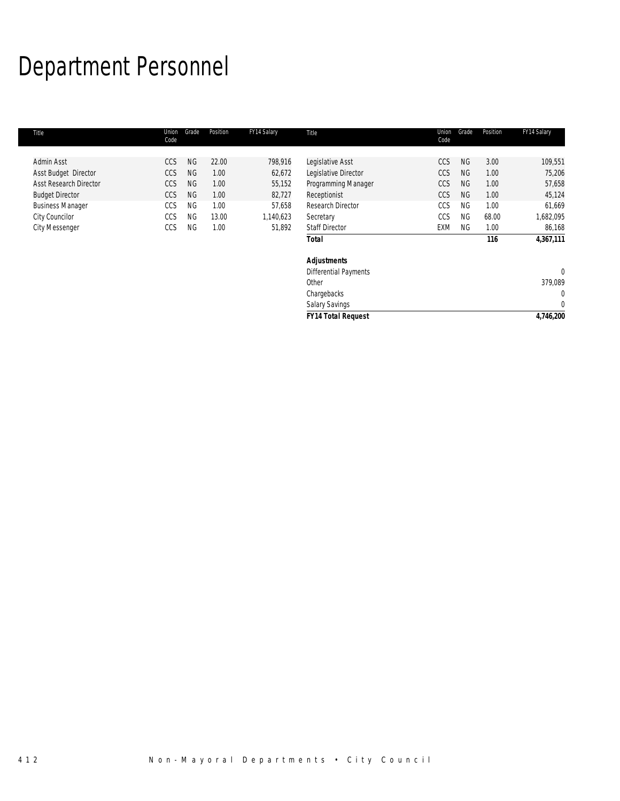# Department Personnel

| Title                         | Union<br>Code | Grade     | Position | FY14 Salary | Title                        | Union<br>Code | Grade     | Position | FY14 Salary  |
|-------------------------------|---------------|-----------|----------|-------------|------------------------------|---------------|-----------|----------|--------------|
|                               |               |           |          |             |                              |               |           |          |              |
| Admin Asst                    | CCS           | <b>NG</b> | 22.00    | 798,916     | Legislative Asst             | CCS           | <b>NG</b> | 3.00     | 109,551      |
| Asst Budget Director          | <b>CCS</b>    | <b>NG</b> | 1.00     | 62,672      | Legislative Director         | <b>CCS</b>    | <b>NG</b> | 1.00     | 75,206       |
| <b>Asst Research Director</b> | <b>CCS</b>    | <b>NG</b> | 1.00     | 55,152      | Programming Manager          | <b>CCS</b>    | <b>NG</b> | 1.00     | 57,658       |
| <b>Budget Director</b>        | <b>CCS</b>    | <b>NG</b> | 1.00     | 82,727      | Receptionist                 | <b>CCS</b>    | <b>NG</b> | 1.00     | 45,124       |
| <b>Business Manager</b>       | CCS           | <b>NG</b> | 1.00     | 57,658      | Research Director            | CCS           | <b>NG</b> | 1.00     | 61,669       |
| City Councilor                | CCS           | <b>NG</b> | 13.00    | 1,140,623   | Secretary                    | CCS           | <b>NG</b> | 68.00    | 1,682,095    |
| <b>City Messenger</b>         | CCS           | <b>NG</b> | 1.00     | 51,892      | <b>Staff Director</b>        | EXM           | NG.       | 1.00     | 86,168       |
|                               |               |           |          |             | <b>Total</b>                 |               |           | 116      | 4,367,111    |
|                               |               |           |          |             | <b>Adjustments</b>           |               |           |          |              |
|                               |               |           |          |             | <b>Differential Payments</b> |               |           |          | $\mathbf{0}$ |
|                               |               |           |          |             | Other                        |               |           |          | 379,089      |
|                               |               |           |          |             | Chargebacks                  |               |           |          | 0            |
|                               |               |           |          |             | <b>Salary Savings</b>        |               |           |          | $\mathbf{0}$ |
|                               |               |           |          |             | <b>FY14 Total Request</b>    |               |           |          | 4,746,200    |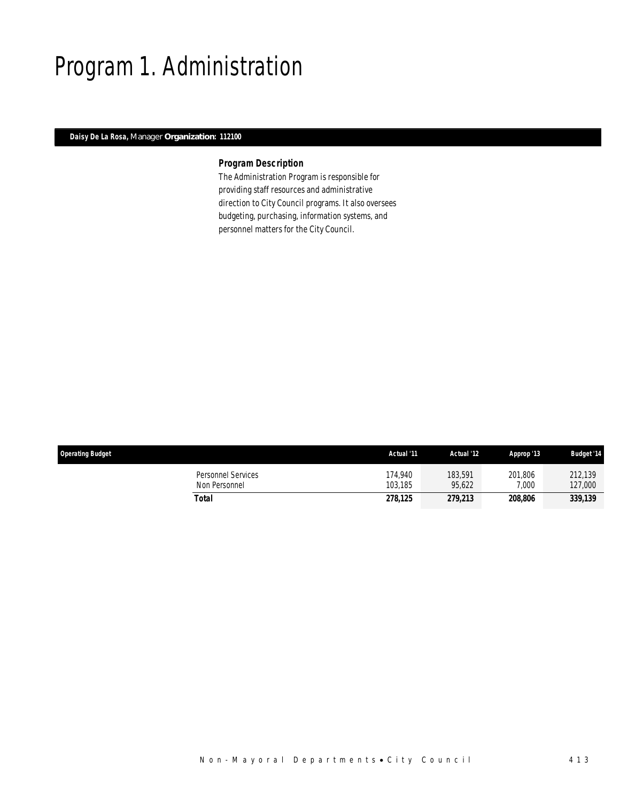## Program 1. Administration

### *Daisy De La Rosa, Manager Organization: 112100*

### *Program Description*

The Administration Program is responsible for providing staff resources and administrative direction to City Council programs. It also oversees budgeting, purchasing, information systems, and personnel matters for the City Council.

| <b>Operating Budget</b>             | Actual '11         | Actual '12        | Approp '13       | <b>Budget '14</b>  |
|-------------------------------------|--------------------|-------------------|------------------|--------------------|
| Personnel Services<br>Non Personnel | 174.940<br>103.185 | 183.591<br>95.622 | 201,806<br>7,000 | 212.139<br>127,000 |
| Total                               | 278.125            | 279,213           | 208.806          | 339,139            |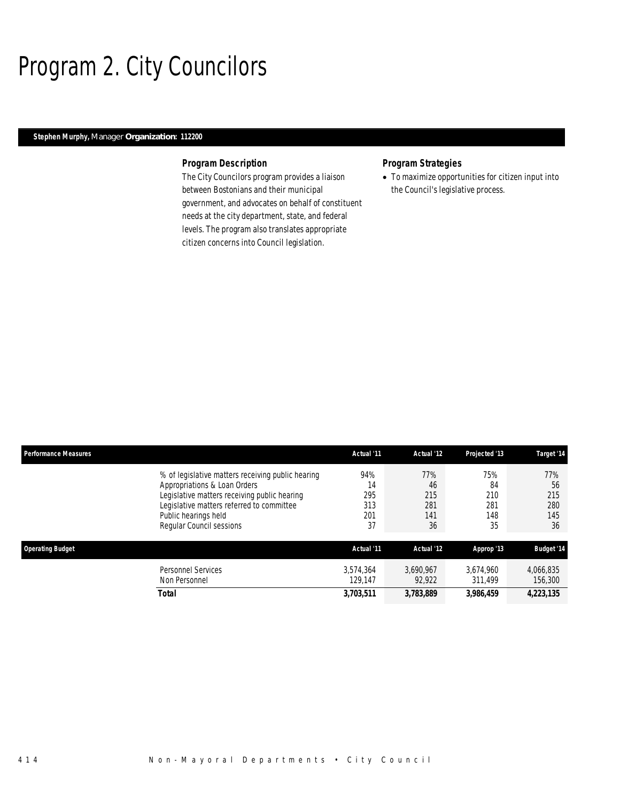# Program 2. City Councilors

### *Stephen Murphy, Manager Organization: 112200*

#### *Program Description*

The City Councilors program provides a liaison between Bostonians and their municipal government, and advocates on behalf of constituent needs at the city department, state, and federal levels. The program also translates appropriate citizen concerns into Council legislation.

### *Program Strategies*

• To maximize opportunities for citizen input into the Council's legislative process.

| <b>Performance Measures</b> |                                                                                                                                                                                                                                    | Actual '11                           | Actual '12                           | Projected '13                        | Target '14                           |
|-----------------------------|------------------------------------------------------------------------------------------------------------------------------------------------------------------------------------------------------------------------------------|--------------------------------------|--------------------------------------|--------------------------------------|--------------------------------------|
|                             | % of legislative matters receiving public hearing<br>Appropriations & Loan Orders<br>Legislative matters receiving public hearing<br>Legislative matters referred to committee<br>Public hearings held<br>Regular Council sessions | 94%<br>14<br>295<br>313<br>201<br>37 | 77%<br>46<br>215<br>281<br>141<br>36 | 75%<br>84<br>210<br>281<br>148<br>35 | 77%<br>56<br>215<br>280<br>145<br>36 |
| <b>Operating Budget</b>     |                                                                                                                                                                                                                                    | Actual '11                           | Actual '12                           | Approp '13                           | <b>Budget '14</b>                    |
|                             | <b>Personnel Services</b><br>Non Personnel                                                                                                                                                                                         | 3.574.364<br>129.147                 | 3.690.967<br>92.922                  | 3,674,960<br>311,499                 | 4,066,835<br>156,300                 |
|                             | Total                                                                                                                                                                                                                              | 3,703,511                            | 3,783,889                            | 3,986,459                            | 4,223,135                            |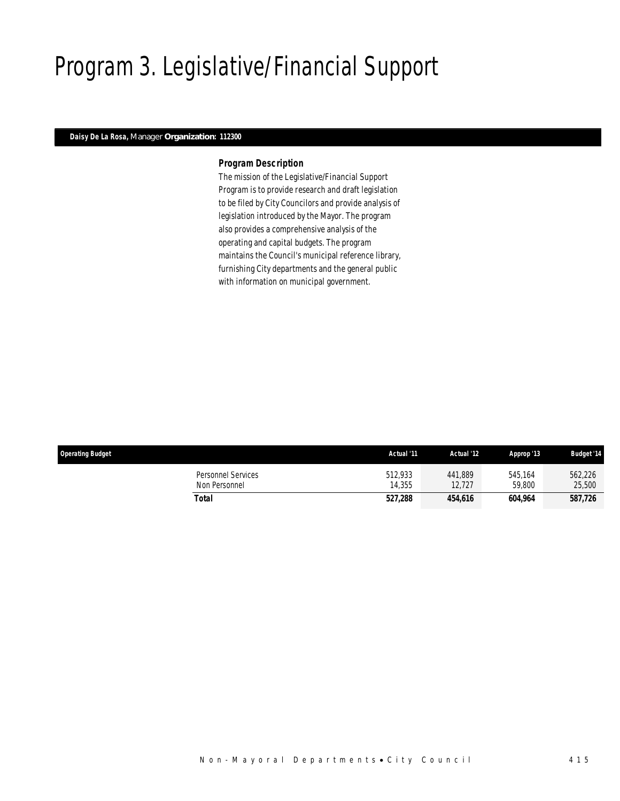# Program 3. Legislative/Financial Support

### *Daisy De La Rosa, Manager Organization: 112300*

#### *Program Description*

The mission of the Legislative/Financial Support Program is to provide research and draft legislation to be filed by City Councilors and provide analysis of legislation introduced by the Mayor. The program also provides a comprehensive analysis of the operating and capital budgets. The program maintains the Council's municipal reference library, furnishing City departments and the general public with information on municipal government.

| <b>Operating Budget</b>             | Actual '11        | Actual '12        | Approp '13        | <b>Budget '14</b> |
|-------------------------------------|-------------------|-------------------|-------------------|-------------------|
| Personnel Services<br>Non Personnel | 512.933<br>14.355 | 441.889<br>12.727 | 545.164<br>59.800 | 562,226<br>25,500 |
| Total                               | 527,288           | 454,616           | 604.964           | 587,726           |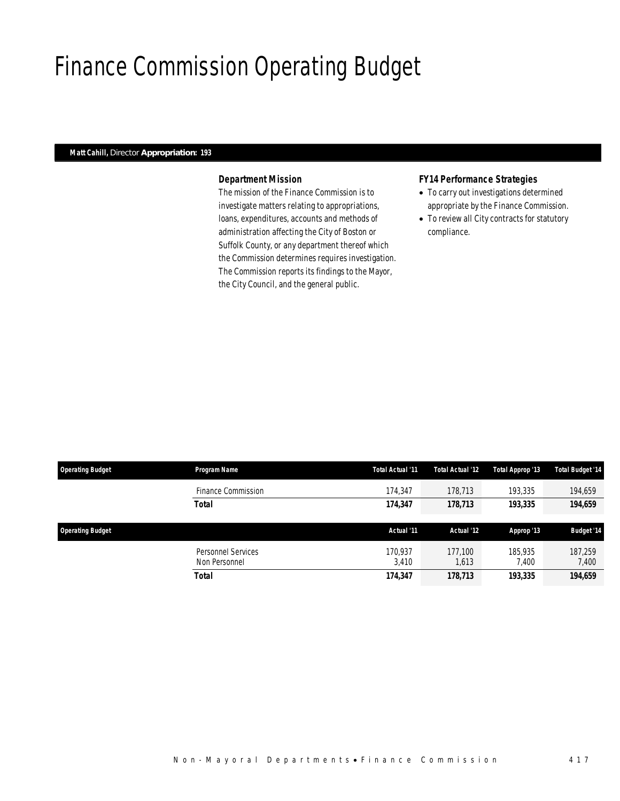## Finance Commission Operating Budget

### *Matt Cahill, Director Appropriation: 193*

### *Department Mission*

The mission of the Finance Commission is to investigate matters relating to appropriations, loans, expenditures, accounts and methods of administration affecting the City of Boston or Suffolk County, or any department thereof which the Commission determines requires investigation. The Commission reports its findings to the Mayor, the City Council, and the general public.

#### *FY14 Performance Strategies*

- To carry out investigations determined appropriate by the Finance Commission.
- To review all City contracts for statutory compliance.

| <b>Operating Budget</b> | Program Name                        | Total Actual '11 | Total Actual '12 | Total Approp '13 | <b>Total Budget '14</b> |
|-------------------------|-------------------------------------|------------------|------------------|------------------|-------------------------|
|                         | Finance Commission                  | 174,347          | 178,713          | 193,335          | 194,659                 |
|                         | <b>Total</b>                        | 174,347          | 178,713          | 193,335          | 194,659                 |
| <b>Operating Budget</b> |                                     | Actual '11       | Actual '12       | Approp '13       | <b>Budget '14</b>       |
|                         | Personnel Services<br>Non Personnel | 170.937<br>3.410 | 177.100<br>1,613 | 185,935<br>7.400 | 187.259<br>7,400        |
|                         | <b>Total</b>                        | 174,347          | 178,713          | 193,335          | 194,659                 |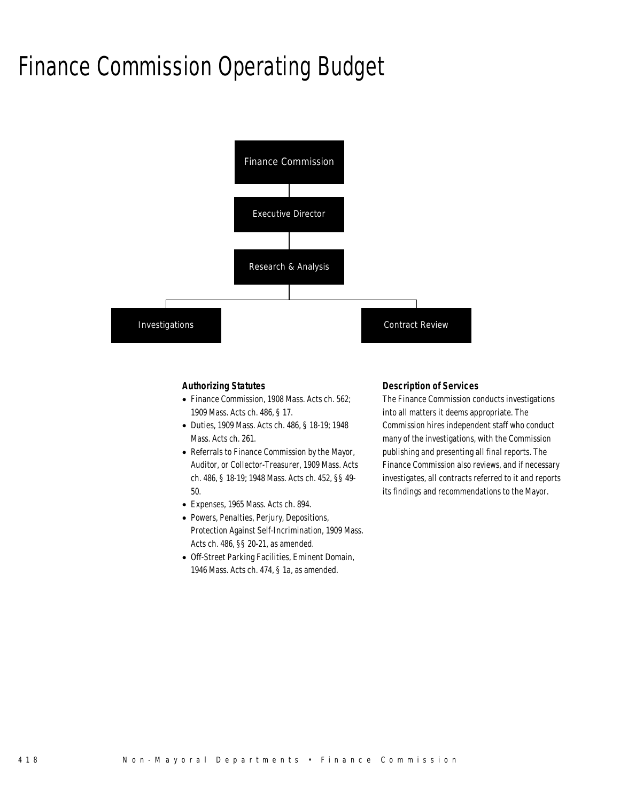### Finance Commission Operating Budget



#### *Authorizing Statutes*

- Finance Commission, 1908 Mass. Acts ch. 562; 1909 Mass. Acts ch. 486, § 17.
- Duties, 1909 Mass. Acts ch. 486, § 18-19; 1948 Mass. Acts ch. 261.
- Referrals to Finance Commission by the Mayor, Auditor, or Collector-Treasurer, 1909 Mass. Acts ch. 486, § 18-19; 1948 Mass. Acts ch. 452, §§ 49- 50.
- Expenses, 1965 Mass. Acts ch. 894.
- Powers, Penalties, Perjury, Depositions, Protection Against Self-Incrimination, 1909 Mass. Acts ch. 486, §§ 20-21, as amended.
- Off-Street Parking Facilities, Eminent Domain, 1946 Mass. Acts ch. 474, § 1a, as amended.

#### *Description of Services*

The Finance Commission conducts investigations into all matters it deems appropriate. The Commission hires independent staff who conduct many of the investigations, with the Commission publishing and presenting all final reports. The Finance Commission also reviews, and if necessary investigates, all contracts referred to it and reports its findings and recommendations to the Mayor.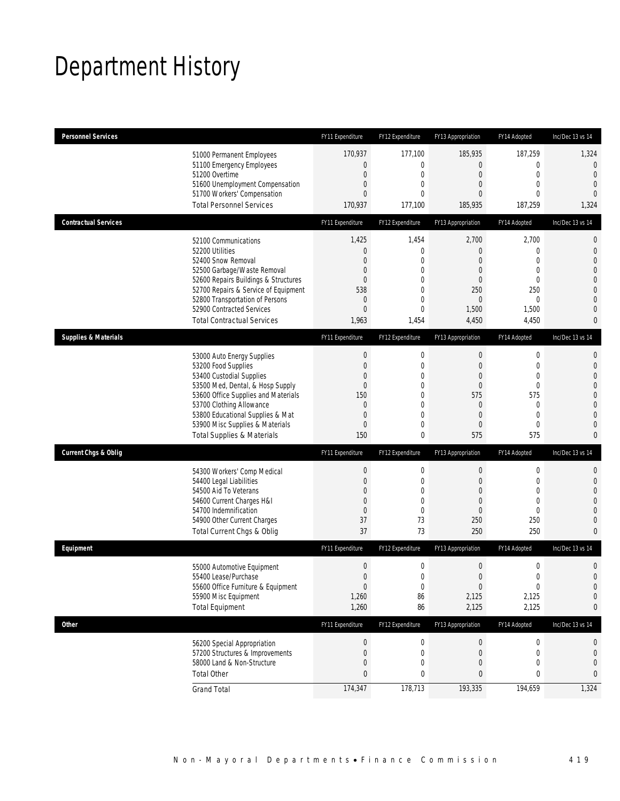# Department History

| <b>Personnel Services</b>       |                                                                         | FY11 Expenditure   | FY12 Expenditure                 | FY13 Appropriation | FY14 Adopted                | Inc/Dec 13 vs 14               |
|---------------------------------|-------------------------------------------------------------------------|--------------------|----------------------------------|--------------------|-----------------------------|--------------------------------|
|                                 | 51000 Permanent Employees                                               | 170,937            | 177,100                          | 185,935            | 187,259                     | 1,324                          |
|                                 | 51100 Emergency Employees                                               | 0                  | $\overline{0}$                   | $\overline{0}$     | $\mathbf 0$                 | $\mathbf 0$                    |
|                                 | 51200 Overtime<br>51600 Unemployment Compensation                       | $\mathbf 0$<br>0   | $\mathbf 0$<br>0                 | $\mathbf 0$<br>0   | $\mathbf 0$<br>$\mathbf{0}$ | $\overline{0}$<br>$\mathbf{0}$ |
|                                 | 51700 Workers' Compensation                                             | $\overline{0}$     | $\theta$                         | 0                  | $\mathbf 0$                 | $\theta$                       |
|                                 | <b>Total Personnel Services</b>                                         | 170,937            | 177,100                          | 185,935            | 187,259                     | 1,324                          |
| <b>Contractual Services</b>     |                                                                         | FY11 Expenditure   | FY12 Expenditure                 | FY13 Appropriation | FY14 Adopted                | Inc/Dec 13 vs 14               |
|                                 | 52100 Communications                                                    | 1,425              | 1,454                            | 2,700              | 2,700                       | $\mathbf 0$                    |
|                                 | 52200 Utilities                                                         | 0                  | $\mathbf 0$                      | 0                  | $\mathbf 0$                 | $\mathbf 0$                    |
|                                 | 52400 Snow Removal                                                      | 0                  | 0                                | 0                  | $\mathbf{0}$                | $\overline{0}$                 |
|                                 | 52500 Garbage/Waste Removal<br>52600 Repairs Buildings & Structures     | 0<br>0             | $\mathbf 0$<br>0                 | 0<br>0             | $\mathbf{0}$<br>$\mathbf 0$ | $\mathbf{0}$<br>$\mathbf 0$    |
|                                 | 52700 Repairs & Service of Equipment                                    | 538                | $\mathbf 0$                      | 250                | 250                         | $\overline{0}$                 |
|                                 | 52800 Transportation of Persons                                         | 0                  | $\overline{0}$                   | 0                  | $\mathbf 0$                 | $\mathbf{0}$                   |
|                                 | 52900 Contracted Services                                               | 0                  | $\theta$                         | 1,500              | 1,500                       | $\overline{0}$                 |
|                                 | <b>Total Contractual Services</b>                                       | 1,963              | 1,454                            | 4,450              | 4,450                       | 0                              |
| <b>Supplies &amp; Materials</b> |                                                                         | FY11 Expenditure   | FY12 Expenditure                 | FY13 Appropriation | FY14 Adopted                | Inc/Dec 13 vs 14               |
|                                 | 53000 Auto Energy Supplies                                              | $\boldsymbol{0}$   | $\boldsymbol{0}$                 | 0                  | $\mathbf 0$                 | $\mathbf{0}$                   |
|                                 | 53200 Food Supplies                                                     | 0                  | $\mathbf 0$                      | $\mathbf 0$        | $\mathbf 0$                 | $\mathbf 0$                    |
|                                 | 53400 Custodial Supplies                                                | 0                  | 0                                | 0                  | $\mathbf 0$                 | $\mathbf{0}$                   |
|                                 | 53500 Med, Dental, & Hosp Supply<br>53600 Office Supplies and Materials | $\mathbf 0$<br>150 | $\mathbf 0$<br>$\overline{0}$    | $\mathbf 0$<br>575 | $\mathbf 0$<br>575          | $\overline{0}$<br>$\mathbf 0$  |
|                                 | 53700 Clothing Allowance                                                | $\mathbf 0$        | 0                                | $\theta$           | $\mathbf 0$                 | $\overline{0}$                 |
|                                 | 53800 Educational Supplies & Mat                                        | 0                  | $\overline{0}$                   | $\overline{0}$     | $\mathbf{0}$                | $\overline{0}$                 |
|                                 | 53900 Misc Supplies & Materials                                         | 0                  | 0                                | 0                  | $\mathbf{0}$                | $\overline{0}$                 |
|                                 | <b>Total Supplies &amp; Materials</b>                                   | 150                | $\mathbf 0$                      | 575                | 575                         | $\mathbf{0}$                   |
| <b>Current Chgs &amp; Oblig</b> |                                                                         | FY11 Expenditure   | FY12 Expenditure                 | FY13 Appropriation | FY14 Adopted                | Inc/Dec 13 vs 14               |
|                                 | 54300 Workers' Comp Medical                                             | $\boldsymbol{0}$   | $\boldsymbol{0}$                 | 0                  | $\boldsymbol{0}$            | $\mathbf{0}$                   |
|                                 | 54400 Legal Liabilities                                                 | $\mathbf 0$        | $\mathbf 0$                      | $\mathbf 0$        | $\mathbf 0$                 | $\mathbf 0$                    |
|                                 | 54500 Aid To Veterans                                                   | 0                  | 0                                | 0                  | $\mathbf{0}$                | $\overline{0}$                 |
|                                 | 54600 Current Charges H&I<br>54700 Indemnification                      | 0<br>$\mathbf 0$   | $\overline{0}$<br>$\overline{0}$ | $\mathbf 0$<br>0   | $\mathbf 0$<br>$\mathbf{0}$ | $\overline{0}$<br>$\mathbf 0$  |
|                                 | 54900 Other Current Charges                                             | 37                 | 73                               | 250                | 250                         | $\mathbf{0}$                   |
|                                 | Total Current Chgs & Oblig                                              | 37                 | 73                               | 250                | 250                         | $\overline{0}$                 |
| Equipment                       |                                                                         | FY11 Expenditure   | FY12 Expenditure                 | FY13 Appropriation | FY14 Adopted                | Inc/Dec 13 vs 14               |
|                                 | 55000 Automotive Equipment                                              | $\mathbf 0$        | $\mathbf 0$                      | $\mathbf 0$        | $\mathbf 0$                 | $\mathbf 0$                    |
|                                 | 55400 Lease/Purchase                                                    | $\boldsymbol{0}$   | $\Omega$                         | 0                  | $\mathbf{0}$                | $\overline{0}$                 |
|                                 | 55600 Office Furniture & Equipment                                      | $\boldsymbol{0}$   | $\boldsymbol{0}$                 | $\boldsymbol{0}$   | $\boldsymbol{0}$            | $\mathbf 0$                    |
|                                 | 55900 Misc Equipment                                                    | 1,260              | 86                               | 2,125              | 2,125                       | $\mathbf 0$                    |
|                                 | <b>Total Equipment</b>                                                  | 1,260              | 86                               | 2,125              | 2,125                       | 0                              |
| <b>Other</b>                    |                                                                         | FY11 Expenditure   | FY12 Expenditure                 | FY13 Appropriation | FY14 Adopted                | Inc/Dec 13 vs 14               |
|                                 | 56200 Special Appropriation                                             | $\boldsymbol{0}$   | 0                                | $\overline{0}$     | $\boldsymbol{0}$            | 0                              |
|                                 | 57200 Structures & Improvements                                         | 0                  | 0                                | $\mathbf 0$        | $\boldsymbol{0}$            | $\mathbf 0$                    |
|                                 | 58000 Land & Non-Structure                                              | $\mathbf 0$        | $\mathbf 0$                      | 0                  | $\mathbf 0$                 | $\mathbf 0$                    |
|                                 | <b>Total Other</b>                                                      | 0                  | 0                                | 0                  | 0                           | 0                              |
|                                 | <b>Grand Total</b>                                                      | 174,347            | 178,713                          | 193,335            | 194,659                     | 1,324                          |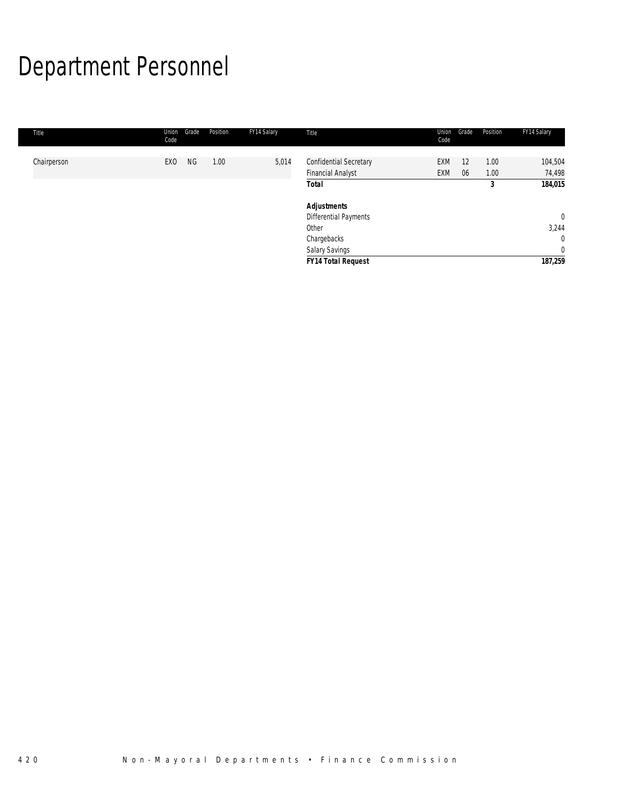# Department Personnel

| Title       | Grade<br>Union<br>Code       | Position | FY14 Salary | Title                                       | Union<br>Code | Grade | Position  | FY14 Salary                    |
|-------------|------------------------------|----------|-------------|---------------------------------------------|---------------|-------|-----------|--------------------------------|
| Chairperson | <b>NG</b><br>EX <sub>0</sub> | 1.00     | 5,014       | Confidential Secretary                      | EXM           | 12    | 1.00      | 104,504                        |
|             |                              |          |             | <b>Financial Analyst</b><br>Total           | <b>EXM</b>    | 06    | 1.00<br>3 | 74,498<br>184,015              |
|             |                              |          |             | <b>Adjustments</b><br>Differential Payments |               |       |           | $\overline{0}$                 |
|             |                              |          |             | Other                                       |               |       |           | 3,244                          |
|             |                              |          |             | Chargebacks<br><b>Salary Savings</b>        |               |       |           | $\mathbf{0}$<br>$\overline{0}$ |
|             |                              |          |             | <b>FY14 Total Request</b>                   |               |       |           | 187,259                        |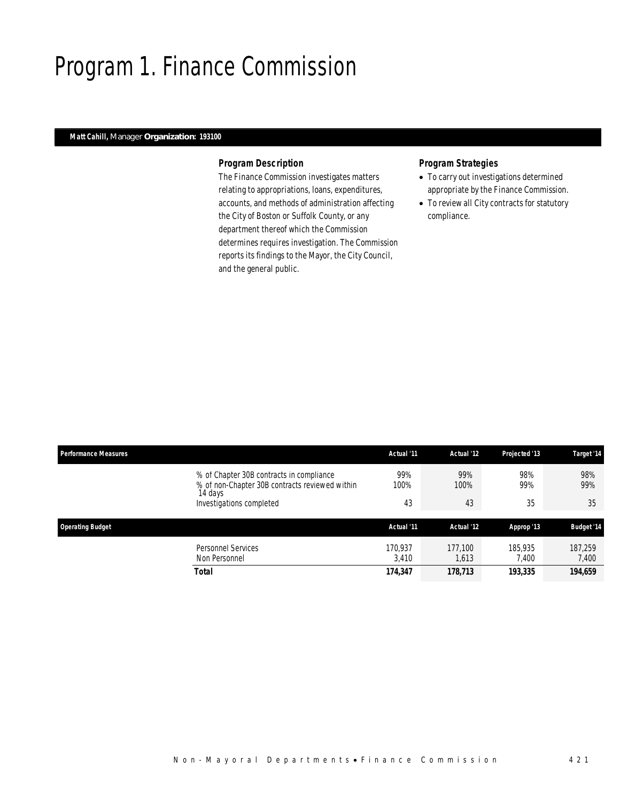### Program 1. Finance Commission

### *Matt Cahill, Manager Organization: 193100*

#### *Program Description*

The Finance Commission investigates matters relating to appropriations, loans, expenditures, accounts, and methods of administration affecting the City of Boston or Suffolk County, or any department thereof which the Commission determines requires investigation. The Commission reports its findings to the Mayor, the City Council, and the general public.

### *Program Strategies*

- To carry out investigations determined appropriate by the Finance Commission.
- To review all City contracts for statutory compliance.

| <b>Performance Measures</b>                                                                           | Actual '11  | Actual '12  | Projected '13 | Target '14        |
|-------------------------------------------------------------------------------------------------------|-------------|-------------|---------------|-------------------|
| % of Chapter 30B contracts in compliance<br>% of non-Chapter 30B contracts reviewed within<br>14 days | 99%<br>100% | 99%<br>100% | 98%<br>99%    | 98%<br>99%        |
| Investigations completed                                                                              | 43          | 43          | 35            | 35                |
|                                                                                                       |             |             |               |                   |
| <b>Operating Budget</b>                                                                               | Actual '11  | Actual '12  | Approp '13    | <b>Budget '14</b> |
| <b>Personnel Services</b>                                                                             | 170.937     | 177.100     | 185,935       | 187.259           |
| Non Personnel                                                                                         | 3.410       | 613, ا      | 7.400         | 7,400             |
| Total                                                                                                 | 174,347     | 178,713     | 193,335       | 194,659           |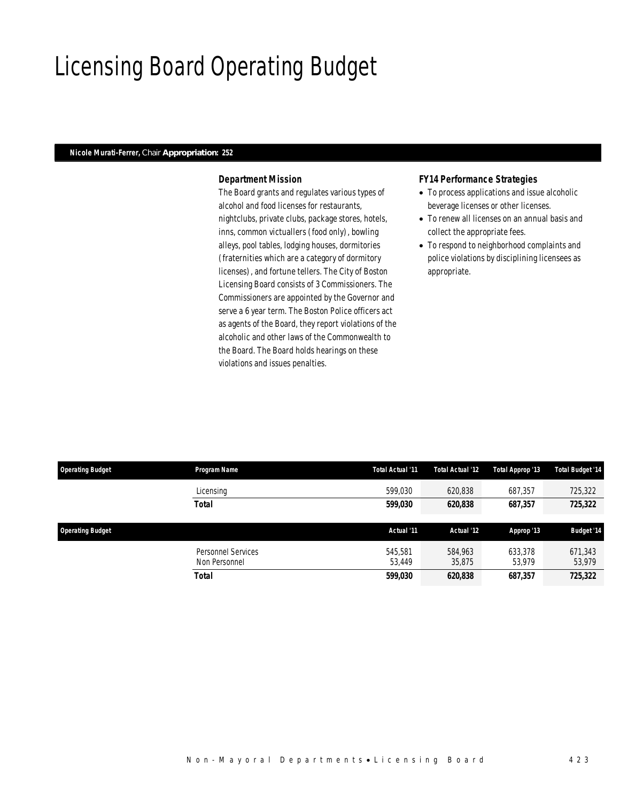### Licensing Board Operating Budget

### *Nicole Murati-Ferrer, Chair Appropriation: 252*

### *Department Mission*

The Board grants and regulates various types of alcohol and food licenses for restaurants, nightclubs, private clubs, package stores, hotels, inns, common victuallers (food only), bowling alleys, pool tables, lodging houses, dormitories (fraternities which are a category of dormitory licenses), and fortune tellers. The City of Boston Licensing Board consists of 3 Commissioners. The Commissioners are appointed by the Governor and serve a 6 year term. The Boston Police officers act as agents of the Board, they report violations of the alcoholic and other laws of the Commonwealth to the Board. The Board holds hearings on these violations and issues penalties.

#### *FY14 Performance Strategies*

- To process applications and issue alcoholic beverage licenses or other licenses.
- To renew all licenses on an annual basis and collect the appropriate fees.
- To respond to neighborhood complaints and police violations by disciplining licensees as appropriate.

| <b>Operating Budget</b> | Program Name                        | Total Actual '11  | Total Actual '12  | Total Approp '13  | <b>Total Budget '14</b> |
|-------------------------|-------------------------------------|-------------------|-------------------|-------------------|-------------------------|
|                         | Licensing                           | 599.030           | 620,838           | 687,357           | 725,322                 |
|                         | <b>Total</b>                        | 599,030           | 620,838           | 687,357           | 725,322                 |
| <b>Operating Budget</b> |                                     | Actual '11        | Actual '12        | Approp '13        | <b>Budget '14</b>       |
|                         | Personnel Services<br>Non Personnel | 545.581<br>53.449 | 584.963<br>35,875 | 633.378<br>53,979 | 671,343<br>53,979       |
|                         | <b>Total</b>                        | 599,030           | 620,838           | 687,357           | 725,322                 |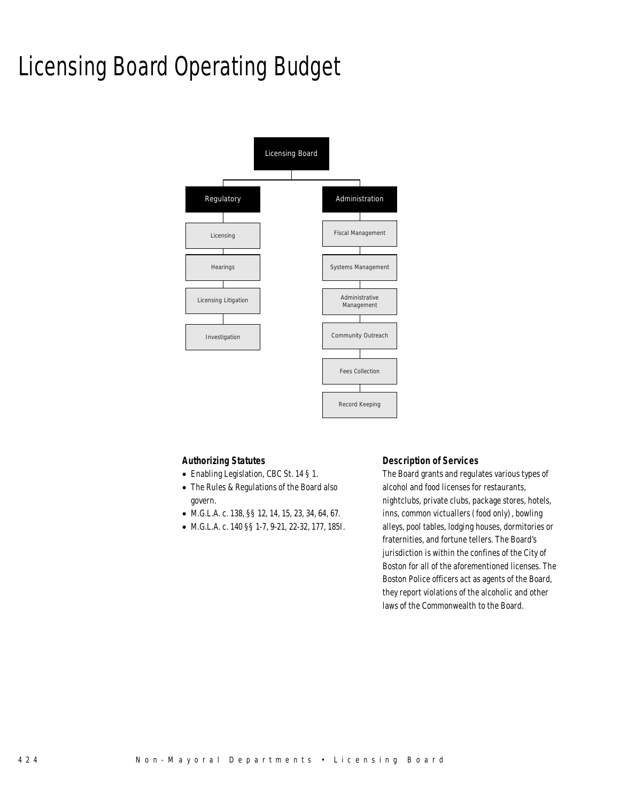# Licensing Board Operating Budget



#### *Authorizing Statutes*

- Enabling Legislation, CBC St. 14 § 1.
- The Rules & Regulations of the Board also govern.
- M.G.L.A. c. 138, §§ 12, 14, 15, 23, 34, 64, 67.
- M.G.L.A. c. 140 §§ 1-7, 9-21, 22-32, 177, 185I.

#### *Description of Services*

The Board grants and regulates various types of alcohol and food licenses for restaurants, nightclubs, private clubs, package stores, hotels, inns, common victuallers (food only), bowling alleys, pool tables, lodging houses, dormitories or fraternities, and fortune tellers. The Board's jurisdiction is within the confines of the City of Boston for all of the aforementioned licenses. The Boston Police officers act as agents of the Board, they report violations of the alcoholic and other laws of the Commonwealth to the Board.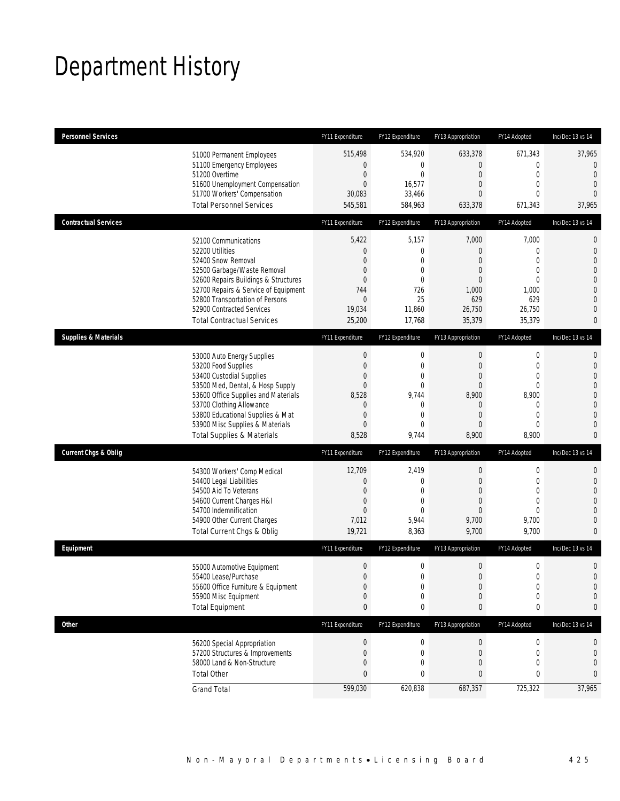# Department History

| <b>Personnel Services</b>       |                                                                                                                                                                                                                                                                                                      | FY11 Expenditure                                                                                                         | FY12 Expenditure                                                                                  | FY13 Appropriation                                                                   | FY14 Adopted                                                                                                              | Inc/Dec 13 vs 14                                                                                                                                   |
|---------------------------------|------------------------------------------------------------------------------------------------------------------------------------------------------------------------------------------------------------------------------------------------------------------------------------------------------|--------------------------------------------------------------------------------------------------------------------------|---------------------------------------------------------------------------------------------------|--------------------------------------------------------------------------------------|---------------------------------------------------------------------------------------------------------------------------|----------------------------------------------------------------------------------------------------------------------------------------------------|
|                                 | 51000 Permanent Employees<br>51100 Emergency Employees<br>51200 Overtime<br>51600 Unemployment Compensation<br>51700 Workers' Compensation<br><b>Total Personnel Services</b>                                                                                                                        | 515,498<br>0<br>$\mathbf 0$<br>$\mathbf 0$<br>30,083<br>545,581                                                          | 534,920<br>0<br>$\mathbf 0$<br>16,577<br>33,466<br>584,963                                        | 633,378<br>$\overline{0}$<br>0<br>$\overline{0}$<br>0<br>633,378                     | 671,343<br>$\mathbf 0$<br>$\mathbf 0$<br>$\mathbf{0}$<br>$\mathbf{0}$<br>671,343                                          | 37,965<br>$\overline{0}$<br>$\mathbf{0}$<br>$\mathbf 0$<br>$\overline{0}$<br>37,965                                                                |
|                                 |                                                                                                                                                                                                                                                                                                      |                                                                                                                          |                                                                                                   |                                                                                      |                                                                                                                           |                                                                                                                                                    |
| <b>Contractual Services</b>     |                                                                                                                                                                                                                                                                                                      | FY11 Expenditure                                                                                                         | FY12 Expenditure                                                                                  | FY13 Appropriation                                                                   | FY14 Adopted                                                                                                              | Inc/Dec 13 vs 14                                                                                                                                   |
|                                 | 52100 Communications<br>52200 Utilities<br>52400 Snow Removal<br>52500 Garbage/Waste Removal<br>52600 Repairs Buildings & Structures<br>52700 Repairs & Service of Equipment<br>52800 Transportation of Persons<br>52900 Contracted Services<br><b>Total Contractual Services</b>                    | 5,422<br>$\mathbf 0$<br>$\overline{0}$<br>0<br>$\overline{0}$<br>744<br>$\boldsymbol{0}$<br>19,034<br>25,200             | 5,157<br>$\boldsymbol{0}$<br>0<br>$\mathbf{0}$<br>$\overline{0}$<br>726<br>25<br>11,860<br>17,768 | 7,000<br>$\mathbf 0$<br>0<br>0<br>$\overline{0}$<br>1,000<br>629<br>26,750<br>35,379 | 7,000<br>$\mathbf 0$<br>$\mathbf{0}$<br>$\mathbf{0}$<br>$\mathbf{0}$<br>1,000<br>629<br>26,750<br>35,379                  | $\mathbf 0$<br>$\mathbf{0}$<br>$\overline{0}$<br>$\overline{0}$<br>$\mathbf 0$<br>$\overline{0}$<br>$\mathbf{0}$<br>$\overline{0}$<br>0            |
| <b>Supplies &amp; Materials</b> |                                                                                                                                                                                                                                                                                                      | FY11 Expenditure                                                                                                         | FY12 Expenditure                                                                                  | FY13 Appropriation                                                                   | FY14 Adopted                                                                                                              | Inc/Dec 13 vs 14                                                                                                                                   |
|                                 | 53000 Auto Energy Supplies<br>53200 Food Supplies<br>53400 Custodial Supplies<br>53500 Med, Dental, & Hosp Supply<br>53600 Office Supplies and Materials<br>53700 Clothing Allowance<br>53800 Educational Supplies & Mat<br>53900 Misc Supplies & Materials<br><b>Total Supplies &amp; Materials</b> | $\boldsymbol{0}$<br>$\boldsymbol{0}$<br>0<br>$\overline{0}$<br>8,528<br>0<br>$\boldsymbol{0}$<br>$\overline{0}$<br>8,528 | 0<br>$\boldsymbol{0}$<br>0<br>0<br>9,744<br>0<br>0<br>$\mathbf{0}$<br>9,744                       | $\boldsymbol{0}$<br>$\mathbf 0$<br>0<br>0<br>8,900<br>0<br>0<br>0<br>8,900           | $\boldsymbol{0}$<br>$\mathbf 0$<br>$\overline{0}$<br>$\overline{0}$<br>8,900<br>0<br>$\mathbf 0$<br>$\mathbf{0}$<br>8,900 | $\mathbf{0}$<br>$\mathbf 0$<br>$\mathbf{0}$<br>$\overline{0}$<br>$\mathbf 0$<br>$\overline{0}$<br>$\overline{0}$<br>$\overline{0}$<br>$\mathbf{0}$ |
| <b>Current Chgs &amp; Oblig</b> |                                                                                                                                                                                                                                                                                                      | FY11 Expenditure                                                                                                         | FY12 Expenditure                                                                                  | FY13 Appropriation                                                                   | FY14 Adopted                                                                                                              | Inc/Dec 13 vs 14                                                                                                                                   |
|                                 | 54300 Workers' Comp Medical<br>54400 Legal Liabilities<br>54500 Aid To Veterans<br>54600 Current Charges H&I<br>54700 Indemnification<br>54900 Other Current Charges<br>Total Current Chgs & Oblig                                                                                                   | 12,709<br>$\boldsymbol{0}$<br>$\boldsymbol{0}$<br>$\mathbf 0$<br>$\overline{0}$<br>7,012<br>19,721                       | 2,419<br>0<br>$\overline{0}$<br>$\mathbf{0}$<br>$\Omega$<br>5,944<br>8,363                        | 0<br>0<br>$\overline{0}$<br>0<br>$\overline{0}$<br>9,700<br>9,700                    | $\boldsymbol{0}$<br>$\mathbf 0$<br>$\mathbf{0}$<br>$\mathbf{0}$<br>$\Omega$<br>9,700<br>9,700                             | $\mathbf 0$<br>$\mathbf 0$<br>$\overline{0}$<br>$\overline{0}$<br>$\overline{0}$<br>$\overline{0}$<br>$\mathbf{0}$                                 |
| Equipment                       |                                                                                                                                                                                                                                                                                                      | FY11 Expenditure                                                                                                         | FY12 Expenditure                                                                                  | FY13 Appropriation                                                                   | FY14 Adopted                                                                                                              | Inc/Dec 13 vs 14                                                                                                                                   |
|                                 | 55000 Automotive Equipment<br>55400 Lease/Purchase<br>55600 Office Furniture & Equipment<br>55900 Misc Equipment<br><b>Total Equipment</b>                                                                                                                                                           | $\boldsymbol{0}$<br>$\Omega$<br>$\boldsymbol{0}$<br>$\boldsymbol{0}$<br>$\bf{0}$                                         | 0<br>$\Omega$<br>0<br>0<br>0                                                                      | $\mathbf 0$<br>0<br>$\boldsymbol{0}$<br>0<br>0                                       | $\boldsymbol{0}$<br>$\boldsymbol{0}$<br>$\pmb{0}$<br>$\mathbf 0$<br>$\pmb{0}$                                             | $\mathbf 0$<br>$\Omega$<br>0<br>0<br>0                                                                                                             |
| <b>Other</b>                    |                                                                                                                                                                                                                                                                                                      | FY11 Expenditure                                                                                                         | FY12 Expenditure                                                                                  | FY13 Appropriation                                                                   | FY14 Adopted                                                                                                              | Inc/Dec 13 vs 14                                                                                                                                   |
|                                 | 56200 Special Appropriation<br>57200 Structures & Improvements<br>58000 Land & Non-Structure<br><b>Total Other</b>                                                                                                                                                                                   | $\boldsymbol{0}$<br>$\boldsymbol{0}$<br>0<br>$\bf{0}$<br>599,030                                                         | 0<br>0<br>0<br>0<br>620,838                                                                       | $\boldsymbol{0}$<br>$\mathbf 0$<br>0<br>0<br>687,357                                 | 0<br>$\boldsymbol{0}$<br>$\mathbf 0$<br>0<br>725,322                                                                      | 0<br>$\mathbf 0$<br>$\mathbf 0$<br>$\mathbf{0}$<br>37,965                                                                                          |
|                                 | <b>Grand Total</b>                                                                                                                                                                                                                                                                                   |                                                                                                                          |                                                                                                   |                                                                                      |                                                                                                                           |                                                                                                                                                    |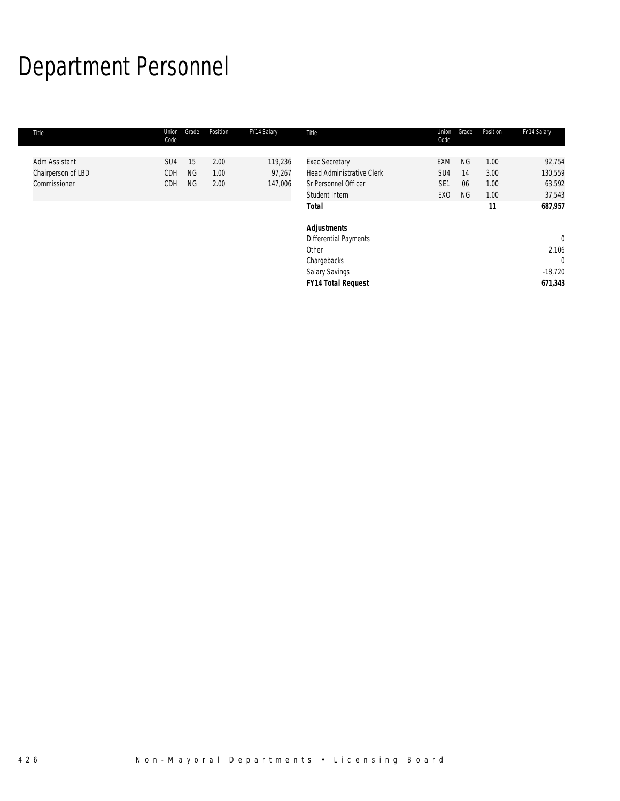# Department Personnel

| Title              | Union<br>Code   | Grade     | Position | FY14 Salary | Title                            | Union<br>Code   | Grade     | Position | FY14 Salary    |
|--------------------|-----------------|-----------|----------|-------------|----------------------------------|-----------------|-----------|----------|----------------|
|                    |                 |           |          |             |                                  |                 |           |          |                |
| Adm Assistant      | SU <sub>4</sub> | 15        | 2.00     | 119,236     | <b>Exec Secretary</b>            | <b>EXM</b>      | <b>NG</b> | 1.00     | 92,754         |
| Chairperson of LBD | CDH             | <b>NG</b> | 1.00     | 97,267      | <b>Head Administrative Clerk</b> | SU <sub>4</sub> | 14        | 3.00     | 130,559        |
| Commissioner       | CDH             | <b>NG</b> | 2.00     | 147,006     | Sr Personnel Officer             | SE <sub>1</sub> | 06        | 1.00     | 63,592         |
|                    |                 |           |          |             | Student Intern                   | EX <sub>0</sub> | <b>NG</b> | 1.00     | 37,543         |
|                    |                 |           |          |             | <b>Total</b>                     |                 |           | 11       | 687,957        |
|                    |                 |           |          |             | <b>Adjustments</b>               |                 |           |          |                |
|                    |                 |           |          |             | Differential Payments            |                 |           |          | $\overline{0}$ |
|                    |                 |           |          |             | Other                            |                 |           |          | 2,106          |
|                    |                 |           |          |             | Chargebacks                      |                 |           |          | $\overline{0}$ |
|                    |                 |           |          |             | Salary Savings                   |                 |           |          | $-18,720$      |
|                    |                 |           |          |             | <b>FY14 Total Request</b>        |                 |           |          | 671,343        |